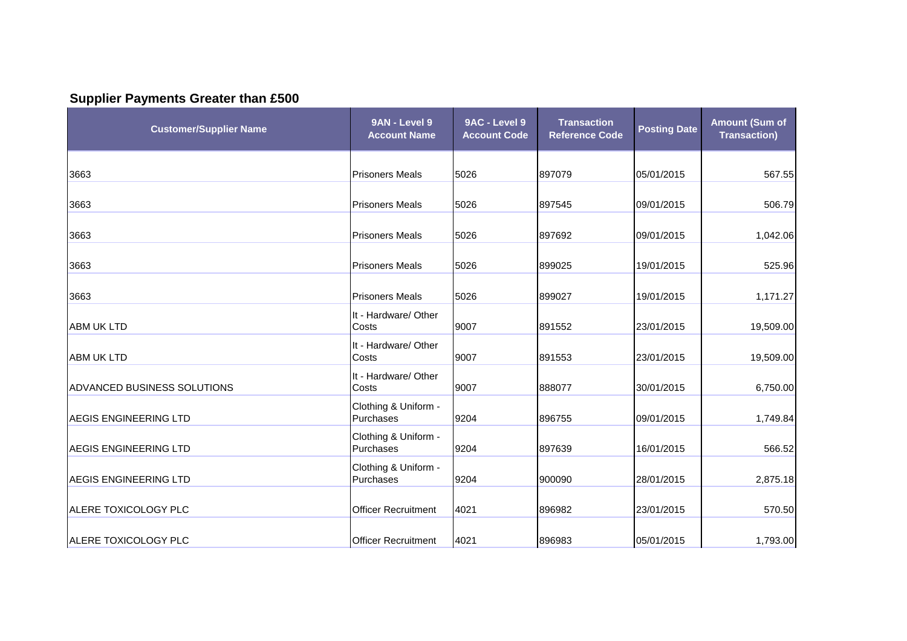## **Supplier Payments Greater than £500**

| <b>Customer/Supplier Name</b> | 9AN - Level 9<br><b>Account Name</b> | 9AC - Level 9<br><b>Account Code</b> | <b>Transaction</b><br><b>Reference Code</b> | <b>Posting Date</b> | <b>Amount (Sum of</b><br><b>Transaction)</b> |
|-------------------------------|--------------------------------------|--------------------------------------|---------------------------------------------|---------------------|----------------------------------------------|
| 3663                          | <b>Prisoners Meals</b>               | 5026                                 | 897079                                      | 05/01/2015          | 567.55                                       |
| 3663                          | <b>Prisoners Meals</b>               | 5026                                 | 897545                                      | 09/01/2015          | 506.79                                       |
| 3663                          | <b>Prisoners Meals</b>               | 5026                                 | 897692                                      | 09/01/2015          | 1,042.06                                     |
| 3663                          | <b>Prisoners Meals</b>               | 5026                                 | 899025                                      | 19/01/2015          | 525.96                                       |
| 3663                          | <b>Prisoners Meals</b>               | 5026                                 | 899027                                      | 19/01/2015          | 1,171.27                                     |
| <b>ABM UK LTD</b>             | It - Hardware/ Other<br>Costs        | 9007                                 | 891552                                      | 23/01/2015          | 19,509.00                                    |
| <b>ABM UK LTD</b>             | It - Hardware/ Other<br>Costs        | 9007                                 | 891553                                      | 23/01/2015          | 19,509.00                                    |
| ADVANCED BUSINESS SOLUTIONS   | It - Hardware/ Other<br>Costs        | 9007                                 | 888077                                      | 30/01/2015          | 6,750.00                                     |
| <b>AEGIS ENGINEERING LTD</b>  | Clothing & Uniform -<br>Purchases    | 9204                                 | 896755                                      | 09/01/2015          | 1,749.84                                     |
| <b>AEGIS ENGINEERING LTD</b>  | Clothing & Uniform -<br>Purchases    | 9204                                 | 897639                                      | 16/01/2015          | 566.52                                       |
| <b>AEGIS ENGINEERING LTD</b>  | Clothing & Uniform -<br>Purchases    | 9204                                 | 900090                                      | 28/01/2015          | 2,875.18                                     |
| ALERE TOXICOLOGY PLC          | <b>Officer Recruitment</b>           | 4021                                 | 896982                                      | 23/01/2015          | 570.50                                       |
| ALERE TOXICOLOGY PLC          | <b>Officer Recruitment</b>           | 4021                                 | 896983                                      | 05/01/2015          | 1,793.00                                     |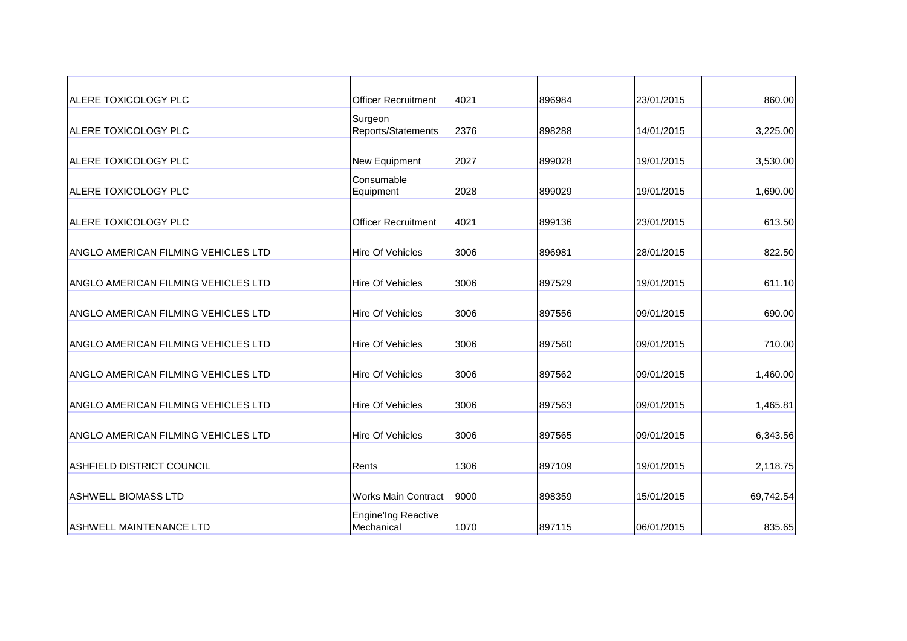| <b>ALERE TOXICOLOGY PLC</b>                | <b>Officer Recruitment</b>               | 4021 | 896984 | 23/01/2015 | 860.00    |
|--------------------------------------------|------------------------------------------|------|--------|------------|-----------|
| <b>ALERE TOXICOLOGY PLC</b>                | Surgeon<br>Reports/Statements            | 2376 | 898288 | 14/01/2015 | 3,225.00  |
| ALERE TOXICOLOGY PLC                       | New Equipment                            | 2027 | 899028 | 19/01/2015 | 3,530.00  |
| <b>ALERE TOXICOLOGY PLC</b>                | Consumable<br>Equipment                  | 2028 | 899029 | 19/01/2015 | 1,690.00  |
| <b>ALERE TOXICOLOGY PLC</b>                | <b>Officer Recruitment</b>               | 4021 | 899136 | 23/01/2015 | 613.50    |
| IANGLO AMERICAN FILMING VEHICLES LTD       | <b>Hire Of Vehicles</b>                  | 3006 | 896981 | 28/01/2015 | 822.50    |
| ANGLO AMERICAN FILMING VEHICLES LTD        | <b>Hire Of Vehicles</b>                  | 3006 | 897529 | 19/01/2015 | 611.10    |
| ANGLO AMERICAN FILMING VEHICLES LTD        | <b>Hire Of Vehicles</b>                  | 3006 | 897556 | 09/01/2015 | 690.00    |
| ANGLO AMERICAN FILMING VEHICLES LTD        | <b>Hire Of Vehicles</b>                  | 3006 | 897560 | 09/01/2015 | 710.00    |
| ANGLO AMERICAN FILMING VEHICLES LTD        | <b>Hire Of Vehicles</b>                  | 3006 | 897562 | 09/01/2015 | 1,460.00  |
| ANGLO AMERICAN FILMING VEHICLES LTD        | <b>Hire Of Vehicles</b>                  | 3006 | 897563 | 09/01/2015 | 1,465.81  |
| <b>ANGLO AMERICAN FILMING VEHICLES LTD</b> | <b>Hire Of Vehicles</b>                  | 3006 | 897565 | 09/01/2015 | 6,343.56  |
| ASHFIELD DISTRICT COUNCIL                  | Rents                                    | 1306 | 897109 | 19/01/2015 | 2,118.75  |
| <b>ASHWELL BIOMASS LTD</b>                 | <b>Works Main Contract</b>               | 9000 | 898359 | 15/01/2015 | 69,742.54 |
| <b>ASHWELL MAINTENANCE LTD</b>             | <b>Engine'Ing Reactive</b><br>Mechanical | 1070 | 897115 | 06/01/2015 | 835.65    |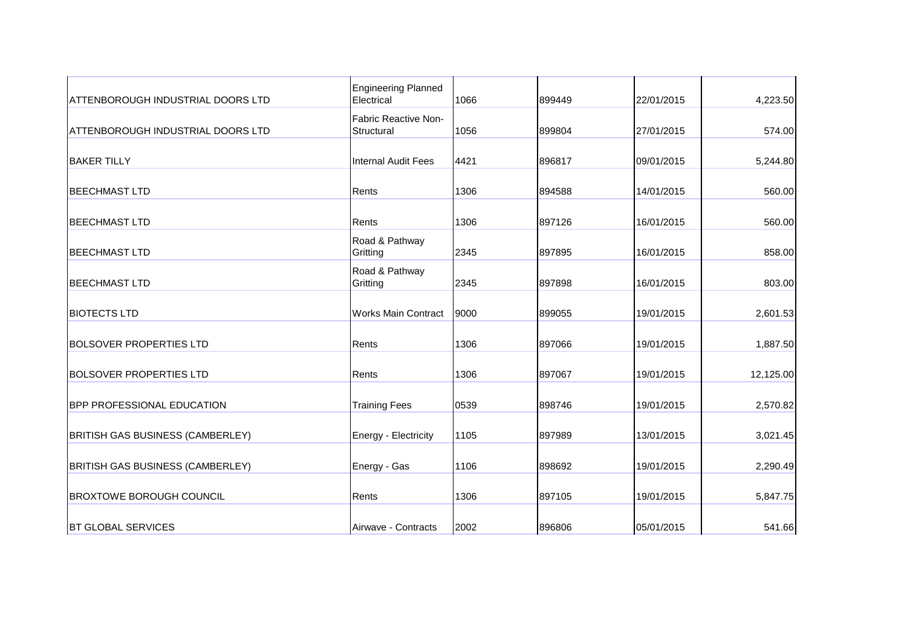| ATTENBOROUGH INDUSTRIAL DOORS LTD        | <b>Engineering Planned</b><br>Electrical | 1066 | 899449 | 22/01/2015 | 4,223.50  |
|------------------------------------------|------------------------------------------|------|--------|------------|-----------|
| <b>ATTENBOROUGH INDUSTRIAL DOORS LTD</b> | Fabric Reactive Non-<br>Structural       | 1056 | 899804 | 27/01/2015 | 574.00    |
| <b>BAKER TILLY</b>                       | <b>Internal Audit Fees</b>               | 4421 | 896817 | 09/01/2015 | 5,244.80  |
| <b>BEECHMAST LTD</b>                     | Rents                                    | 1306 | 894588 | 14/01/2015 | 560.00    |
| <b>BEECHMAST LTD</b>                     | Rents                                    | 1306 | 897126 | 16/01/2015 | 560.00    |
| <b>BEECHMAST LTD</b>                     | Road & Pathway<br>Gritting               | 2345 | 897895 | 16/01/2015 | 858.00    |
| <b>BEECHMAST LTD</b>                     | Road & Pathway<br>Gritting               | 2345 | 897898 | 16/01/2015 | 803.00    |
| <b>BIOTECTS LTD</b>                      | <b>Works Main Contract</b>               | 9000 | 899055 | 19/01/2015 | 2,601.53  |
| <b>BOLSOVER PROPERTIES LTD</b>           | Rents                                    | 1306 | 897066 | 19/01/2015 | 1,887.50  |
| <b>BOLSOVER PROPERTIES LTD</b>           | Rents                                    | 1306 | 897067 | 19/01/2015 | 12,125.00 |
| <b>BPP PROFESSIONAL EDUCATION</b>        | <b>Training Fees</b>                     | 0539 | 898746 | 19/01/2015 | 2,570.82  |
| BRITISH GAS BUSINESS (CAMBERLEY)         | Energy - Electricity                     | 1105 | 897989 | 13/01/2015 | 3,021.45  |
| BRITISH GAS BUSINESS (CAMBERLEY)         | Energy - Gas                             | 1106 | 898692 | 19/01/2015 | 2,290.49  |
| <b>BROXTOWE BOROUGH COUNCIL</b>          | Rents                                    | 1306 | 897105 | 19/01/2015 | 5,847.75  |
| <b>BT GLOBAL SERVICES</b>                | Airwave - Contracts                      | 2002 | 896806 | 05/01/2015 | 541.66    |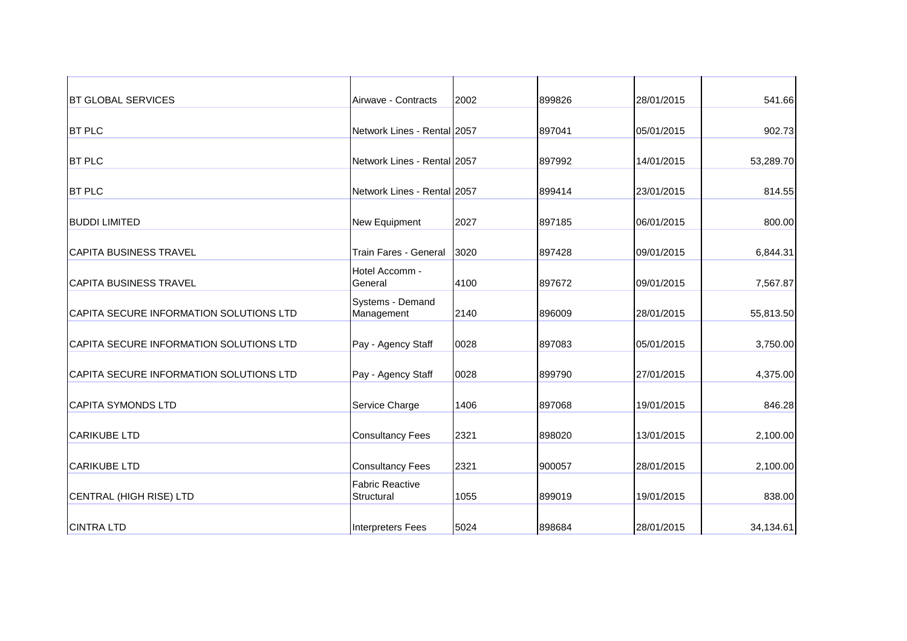| <b>BT GLOBAL SERVICES</b>               | Airwave - Contracts                  | 2002 | 899826 | 28/01/2015 | 541.66    |
|-----------------------------------------|--------------------------------------|------|--------|------------|-----------|
| <b>BT PLC</b>                           | Network Lines - Rental 2057          |      | 897041 | 05/01/2015 | 902.73    |
| <b>BT PLC</b>                           | Network Lines - Rental 2057          |      | 897992 | 14/01/2015 | 53,289.70 |
| <b>BT PLC</b>                           | Network Lines - Rental 2057          |      | 899414 | 23/01/2015 | 814.55    |
| <b>BUDDI LIMITED</b>                    | <b>New Equipment</b>                 | 2027 | 897185 | 06/01/2015 | 800.00    |
| <b>CAPITA BUSINESS TRAVEL</b>           | Train Fares - General                | 3020 | 897428 | 09/01/2015 | 6,844.31  |
| <b>CAPITA BUSINESS TRAVEL</b>           | Hotel Accomm -<br>General            | 4100 | 897672 | 09/01/2015 | 7,567.87  |
| CAPITA SECURE INFORMATION SOLUTIONS LTD | Systems - Demand<br>Management       | 2140 | 896009 | 28/01/2015 | 55,813.50 |
| CAPITA SECURE INFORMATION SOLUTIONS LTD | Pay - Agency Staff                   | 0028 | 897083 | 05/01/2015 | 3,750.00  |
| CAPITA SECURE INFORMATION SOLUTIONS LTD | Pay - Agency Staff                   | 0028 | 899790 | 27/01/2015 | 4,375.00  |
| <b>CAPITA SYMONDS LTD</b>               | Service Charge                       | 1406 | 897068 | 19/01/2015 | 846.28    |
| <b>CARIKUBE LTD</b>                     | <b>Consultancy Fees</b>              | 2321 | 898020 | 13/01/2015 | 2,100.00  |
| <b>CARIKUBE LTD</b>                     | <b>Consultancy Fees</b>              | 2321 | 900057 | 28/01/2015 | 2,100.00  |
| CENTRAL (HIGH RISE) LTD                 | <b>Fabric Reactive</b><br>Structural | 1055 | 899019 | 19/01/2015 | 838.00    |
| <b>CINTRA LTD</b>                       | Interpreters Fees                    | 5024 | 898684 | 28/01/2015 | 34,134.61 |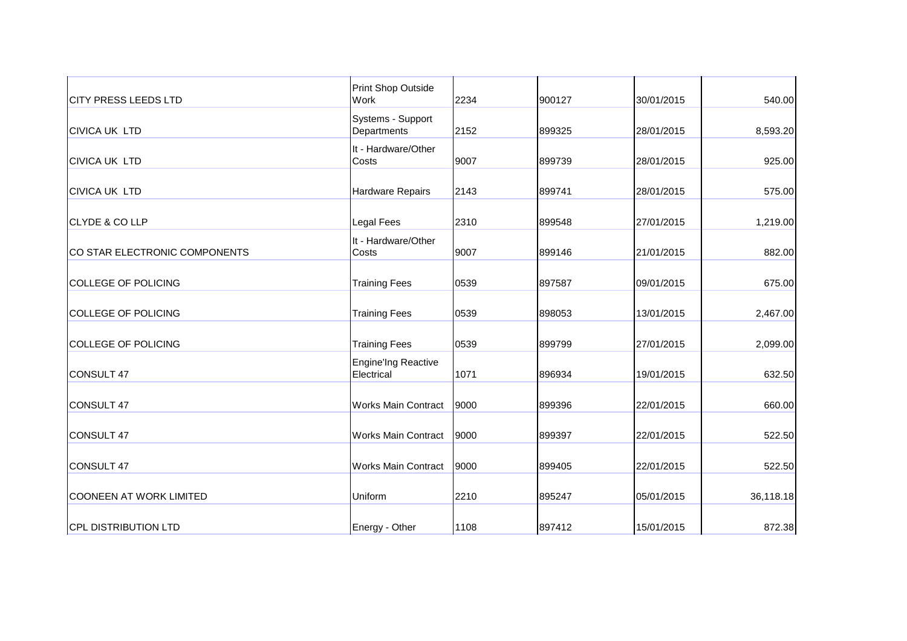| <b>CITY PRESS LEEDS LTD</b>    | Print Shop Outside<br>Work               | 2234 | 900127 | 30/01/2015 | 540.00    |
|--------------------------------|------------------------------------------|------|--------|------------|-----------|
| <b>CIVICA UK LTD</b>           | Systems - Support<br>Departments         | 2152 | 899325 | 28/01/2015 | 8,593.20  |
| <b>CIVICA UK LTD</b>           | It - Hardware/Other<br>Costs             | 9007 | 899739 | 28/01/2015 | 925.00    |
| <b>CIVICA UK LTD</b>           | Hardware Repairs                         | 2143 | 899741 | 28/01/2015 | 575.00    |
| <b>CLYDE &amp; CO LLP</b>      | Legal Fees                               | 2310 | 899548 | 27/01/2015 | 1,219.00  |
| CO STAR ELECTRONIC COMPONENTS  | It - Hardware/Other<br>Costs             | 9007 | 899146 | 21/01/2015 | 882.00    |
| <b>COLLEGE OF POLICING</b>     | <b>Training Fees</b>                     | 0539 | 897587 | 09/01/2015 | 675.00    |
| <b>COLLEGE OF POLICING</b>     | <b>Training Fees</b>                     | 0539 | 898053 | 13/01/2015 | 2,467.00  |
| <b>COLLEGE OF POLICING</b>     | <b>Training Fees</b>                     | 0539 | 899799 | 27/01/2015 | 2,099.00  |
| <b>CONSULT 47</b>              | <b>Engine'Ing Reactive</b><br>Electrical | 1071 | 896934 | 19/01/2015 | 632.50    |
| <b>CONSULT 47</b>              | <b>Works Main Contract</b>               | 9000 | 899396 | 22/01/2015 | 660.00    |
| CONSULT 47                     | <b>Works Main Contract</b>               | 9000 | 899397 | 22/01/2015 | 522.50    |
| <b>CONSULT 47</b>              | <b>Works Main Contract</b>               | 9000 | 899405 | 22/01/2015 | 522.50    |
| <b>COONEEN AT WORK LIMITED</b> | Uniform                                  | 2210 | 895247 | 05/01/2015 | 36,118.18 |
| <b>CPL DISTRIBUTION LTD</b>    | Energy - Other                           | 1108 | 897412 | 15/01/2015 | 872.38    |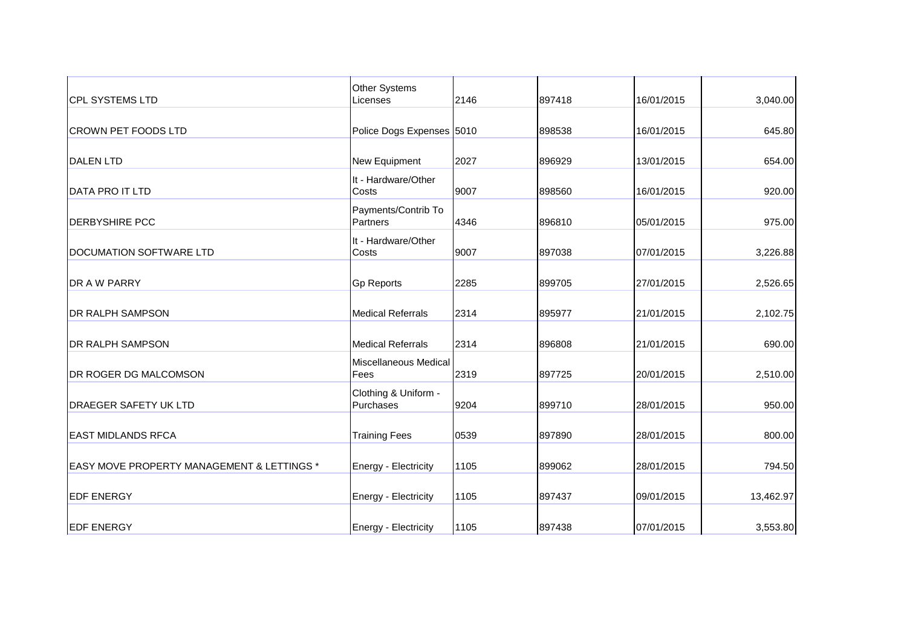| <b>CPL SYSTEMS LTD</b>                                | <b>Other Systems</b><br>Licenses  | 2146 | 897418 | 16/01/2015 | 3,040.00  |
|-------------------------------------------------------|-----------------------------------|------|--------|------------|-----------|
| <b>CROWN PET FOODS LTD</b>                            | Police Dogs Expenses 5010         |      | 898538 | 16/01/2015 | 645.80    |
| <b>DALEN LTD</b>                                      | New Equipment                     | 2027 | 896929 | 13/01/2015 | 654.00    |
| <b>DATA PRO IT LTD</b>                                | It - Hardware/Other<br>Costs      | 9007 | 898560 | 16/01/2015 | 920.00    |
| <b>DERBYSHIRE PCC</b>                                 | Payments/Contrib To<br>Partners   | 4346 | 896810 | 05/01/2015 | 975.00    |
| DOCUMATION SOFTWARE LTD                               | It - Hardware/Other<br>Costs      | 9007 | 897038 | 07/01/2015 | 3,226.88  |
| DR A W PARRY                                          | <b>Gp Reports</b>                 | 2285 | 899705 | 27/01/2015 | 2,526.65  |
| <b>DR RALPH SAMPSON</b>                               | <b>Medical Referrals</b>          | 2314 | 895977 | 21/01/2015 | 2,102.75  |
| <b>DR RALPH SAMPSON</b>                               | <b>Medical Referrals</b>          | 2314 | 896808 | 21/01/2015 | 690.00    |
| <b>DR ROGER DG MALCOMSON</b>                          | Miscellaneous Medical<br>Fees     | 2319 | 897725 | 20/01/2015 | 2,510.00  |
| <b>DRAEGER SAFETY UK LTD</b>                          | Clothing & Uniform -<br>Purchases | 9204 | 899710 | 28/01/2015 | 950.00    |
| <b>EAST MIDLANDS RFCA</b>                             | <b>Training Fees</b>              | 0539 | 897890 | 28/01/2015 | 800.00    |
| <b>EASY MOVE PROPERTY MANAGEMENT &amp; LETTINGS *</b> | Energy - Electricity              | 1105 | 899062 | 28/01/2015 | 794.50    |
| <b>EDF ENERGY</b>                                     | Energy - Electricity              | 1105 | 897437 | 09/01/2015 | 13,462.97 |
| <b>EDF ENERGY</b>                                     | Energy - Electricity              | 1105 | 897438 | 07/01/2015 | 3,553.80  |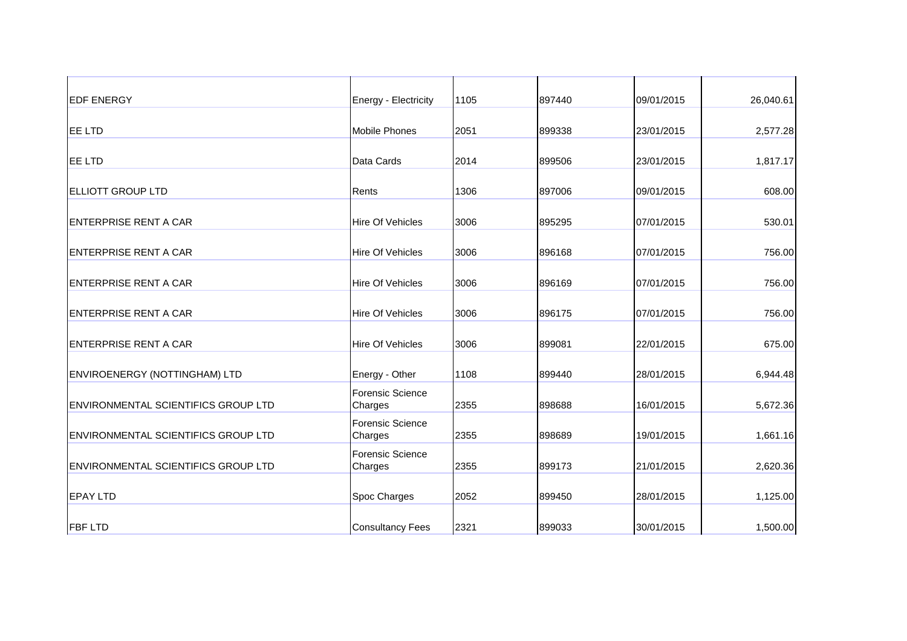| <b>IEDF ENERGY</b>                         | Energy - Electricity               | 1105 | 897440 | 09/01/2015 | 26,040.61 |
|--------------------------------------------|------------------------------------|------|--------|------------|-----------|
| <b>EE LTD</b>                              | <b>Mobile Phones</b>               | 2051 | 899338 | 23/01/2015 | 2,577.28  |
| <b>EE LTD</b>                              | Data Cards                         | 2014 | 899506 | 23/01/2015 | 1,817.17  |
| <b>ELLIOTT GROUP LTD</b>                   | Rents                              | 1306 | 897006 | 09/01/2015 | 608.00    |
| <b>IENTERPRISE RENT A CAR</b>              | <b>Hire Of Vehicles</b>            | 3006 | 895295 | 07/01/2015 | 530.01    |
| <b>IENTERPRISE RENT A CAR</b>              | <b>Hire Of Vehicles</b>            | 3006 | 896168 | 07/01/2015 | 756.00    |
| <b>ENTERPRISE RENT A CAR</b>               | <b>Hire Of Vehicles</b>            | 3006 | 896169 | 07/01/2015 | 756.00    |
| <b>ENTERPRISE RENT A CAR</b>               | Hire Of Vehicles                   | 3006 | 896175 | 07/01/2015 | 756.00    |
| <b>ENTERPRISE RENT A CAR</b>               | Hire Of Vehicles                   | 3006 | 899081 | 22/01/2015 | 675.00    |
| ENVIROENERGY (NOTTINGHAM) LTD              | Energy - Other                     | 1108 | 899440 | 28/01/2015 | 6,944.48  |
| <b>ENVIRONMENTAL SCIENTIFICS GROUP LTD</b> | <b>Forensic Science</b><br>Charges | 2355 | 898688 | 16/01/2015 | 5,672.36  |
| <b>ENVIRONMENTAL SCIENTIFICS GROUP LTD</b> | <b>Forensic Science</b><br>Charges | 2355 | 898689 | 19/01/2015 | 1,661.16  |
| <b>ENVIRONMENTAL SCIENTIFICS GROUP LTD</b> | <b>Forensic Science</b><br>Charges | 2355 | 899173 | 21/01/2015 | 2,620.36  |
| <b>EPAY LTD</b>                            | Spoc Charges                       | 2052 | 899450 | 28/01/2015 | 1,125.00  |
| <b>FBF LTD</b>                             | <b>Consultancy Fees</b>            | 2321 | 899033 | 30/01/2015 | 1,500.00  |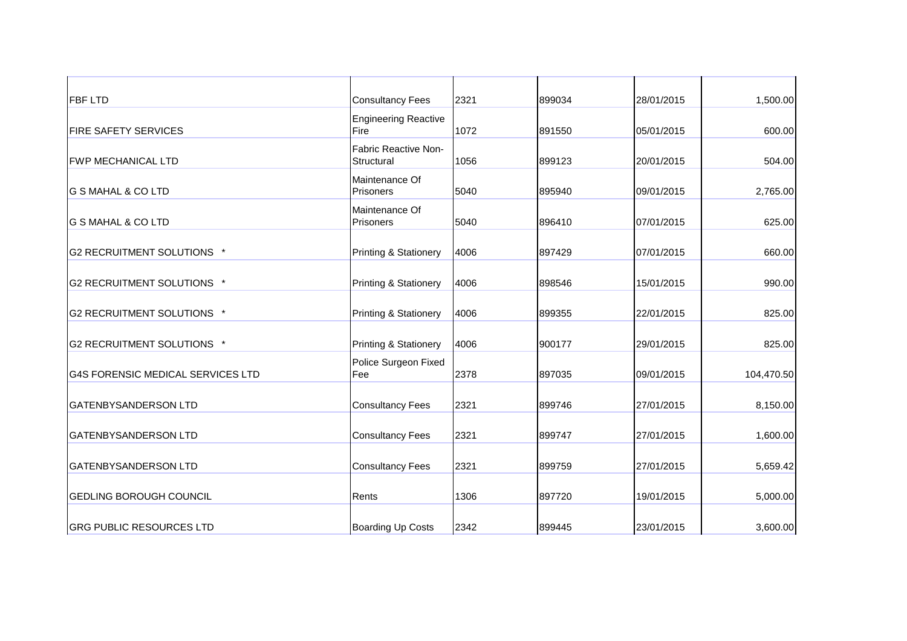| <b>FBF LTD</b>                           | <b>Consultancy Fees</b>             | 2321 | 899034 | 28/01/2015 | 1,500.00   |
|------------------------------------------|-------------------------------------|------|--------|------------|------------|
| <b>FIRE SAFETY SERVICES</b>              | <b>Engineering Reactive</b><br>Fire | 1072 | 891550 | 05/01/2015 | 600.00     |
| <b>FWP MECHANICAL LTD</b>                | Fabric Reactive Non-<br>Structural  | 1056 | 899123 | 20/01/2015 | 504.00     |
| <b>G S MAHAL &amp; CO LTD</b>            | Maintenance Of<br>Prisoners         | 5040 | 895940 | 09/01/2015 | 2,765.00   |
| <b>G S MAHAL &amp; CO LTD</b>            | Maintenance Of<br>Prisoners         | 5040 | 896410 | 07/01/2015 | 625.00     |
| G2 RECRUITMENT SOLUTIONS *               | Printing & Stationery               | 4006 | 897429 | 07/01/2015 | 660.00     |
| G2 RECRUITMENT SOLUTIONS *               | Printing & Stationery               | 4006 | 898546 | 15/01/2015 | 990.00     |
| G2 RECRUITMENT SOLUTIONS *               | Printing & Stationery               | 4006 | 899355 | 22/01/2015 | 825.00     |
| G2 RECRUITMENT SOLUTIONS *               | Printing & Stationery               | 4006 | 900177 | 29/01/2015 | 825.00     |
| <b>G4S FORENSIC MEDICAL SERVICES LTD</b> | Police Surgeon Fixed<br>Fee         | 2378 | 897035 | 09/01/2015 | 104,470.50 |
| <b>GATENBYSANDERSON LTD</b>              | <b>Consultancy Fees</b>             | 2321 | 899746 | 27/01/2015 | 8,150.00   |
| <b>GATENBYSANDERSON LTD</b>              | <b>Consultancy Fees</b>             | 2321 | 899747 | 27/01/2015 | 1,600.00   |
| <b>GATENBYSANDERSON LTD</b>              | <b>Consultancy Fees</b>             | 2321 | 899759 | 27/01/2015 | 5,659.42   |
| <b>GEDLING BOROUGH COUNCIL</b>           | Rents                               | 1306 | 897720 | 19/01/2015 | 5,000.00   |
| <b>GRG PUBLIC RESOURCES LTD</b>          | Boarding Up Costs                   | 2342 | 899445 | 23/01/2015 | 3,600.00   |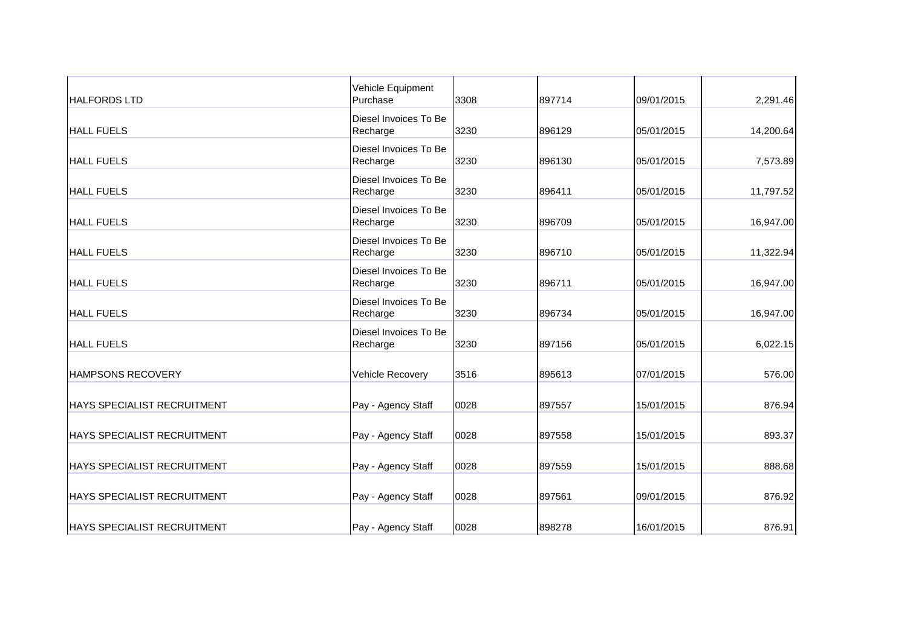| <b>HALFORDS LTD</b>                 | Vehicle Equipment<br>Purchase     | 3308 | 897714 | 09/01/2015 | 2,291.46  |
|-------------------------------------|-----------------------------------|------|--------|------------|-----------|
| <b>HALL FUELS</b>                   | Diesel Invoices To Be<br>Recharge | 3230 | 896129 | 05/01/2015 | 14,200.64 |
| <b>HALL FUELS</b>                   | Diesel Invoices To Be<br>Recharge | 3230 | 896130 | 05/01/2015 | 7,573.89  |
| <b>HALL FUELS</b>                   | Diesel Invoices To Be<br>Recharge | 3230 | 896411 | 05/01/2015 | 11,797.52 |
| <b>HALL FUELS</b>                   | Diesel Invoices To Be<br>Recharge | 3230 | 896709 | 05/01/2015 | 16,947.00 |
| <b>HALL FUELS</b>                   | Diesel Invoices To Be<br>Recharge | 3230 | 896710 | 05/01/2015 | 11,322.94 |
| <b>HALL FUELS</b>                   | Diesel Invoices To Be<br>Recharge | 3230 | 896711 | 05/01/2015 | 16,947.00 |
| <b>HALL FUELS</b>                   | Diesel Invoices To Be<br>Recharge | 3230 | 896734 | 05/01/2015 | 16,947.00 |
| <b>HALL FUELS</b>                   | Diesel Invoices To Be<br>Recharge | 3230 | 897156 | 05/01/2015 | 6,022.15  |
| HAMPSONS RECOVERY                   | Vehicle Recovery                  | 3516 | 895613 | 07/01/2015 | 576.00    |
| HAYS SPECIALIST RECRUITMENT         | Pay - Agency Staff                | 0028 | 897557 | 15/01/2015 | 876.94    |
| <b>HAYS SPECIALIST RECRUITMENT</b>  | Pay - Agency Staff                | 0028 | 897558 | 15/01/2015 | 893.37    |
| <b>IHAYS SPECIALIST RECRUITMENT</b> | Pay - Agency Staff                | 0028 | 897559 | 15/01/2015 | 888.68    |
| <b>HAYS SPECIALIST RECRUITMENT</b>  | Pay - Agency Staff                | 0028 | 897561 | 09/01/2015 | 876.92    |
| <b>HAYS SPECIALIST RECRUITMENT</b>  | Pay - Agency Staff                | 0028 | 898278 | 16/01/2015 | 876.91    |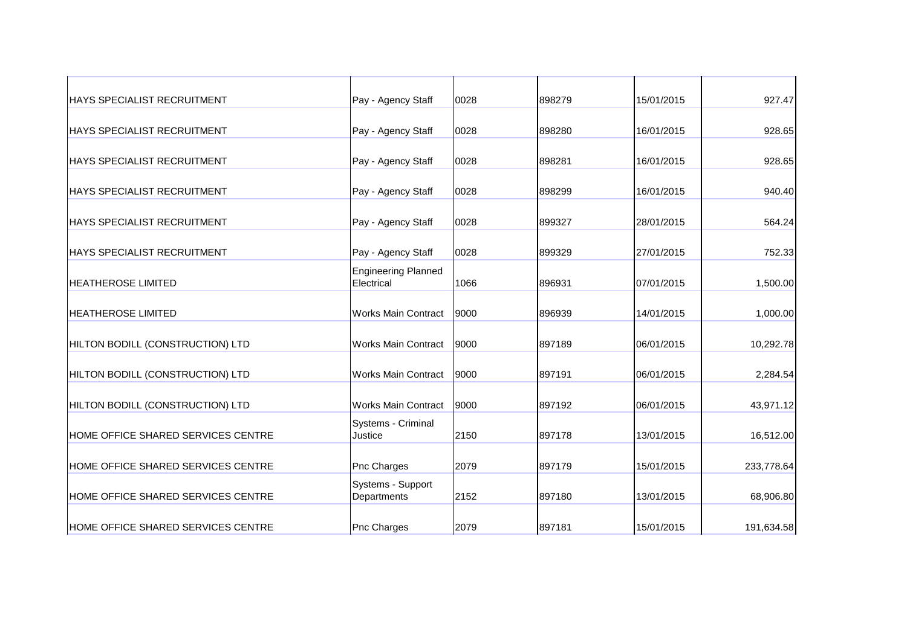| <b>HAYS SPECIALIST RECRUITMENT</b>        | Pay - Agency Staff                       | 0028 | 898279 | 15/01/2015 | 927.47     |
|-------------------------------------------|------------------------------------------|------|--------|------------|------------|
| <b>HAYS SPECIALIST RECRUITMENT</b>        | Pay - Agency Staff                       | 0028 | 898280 | 16/01/2015 | 928.65     |
| <b>HAYS SPECIALIST RECRUITMENT</b>        | Pay - Agency Staff                       | 0028 | 898281 | 16/01/2015 | 928.65     |
| <b>HAYS SPECIALIST RECRUITMENT</b>        | Pay - Agency Staff                       | 0028 | 898299 | 16/01/2015 | 940.40     |
| <b>HAYS SPECIALIST RECRUITMENT</b>        | Pay - Agency Staff                       | 0028 | 899327 | 28/01/2015 | 564.24     |
| <b>HAYS SPECIALIST RECRUITMENT</b>        | Pay - Agency Staff                       | 0028 | 899329 | 27/01/2015 | 752.33     |
| <b>IHEATHEROSE LIMITED</b>                | <b>Engineering Planned</b><br>Electrical | 1066 | 896931 | 07/01/2015 | 1,500.00   |
| <b>HEATHEROSE LIMITED</b>                 | <b>Works Main Contract</b>               | 9000 | 896939 | 14/01/2015 | 1,000.00   |
| HILTON BODILL (CONSTRUCTION) LTD          | <b>Works Main Contract</b>               | 9000 | 897189 | 06/01/2015 | 10,292.78  |
| HILTON BODILL (CONSTRUCTION) LTD          | <b>Works Main Contract</b>               | 9000 | 897191 | 06/01/2015 | 2,284.54   |
| HILTON BODILL (CONSTRUCTION) LTD          | <b>Works Main Contract</b>               | 9000 | 897192 | 06/01/2015 | 43,971.12  |
| <b>HOME OFFICE SHARED SERVICES CENTRE</b> | Systems - Criminal<br>Justice            | 2150 | 897178 | 13/01/2015 | 16,512.00  |
| <b>HOME OFFICE SHARED SERVICES CENTRE</b> | Pnc Charges                              | 2079 | 897179 | 15/01/2015 | 233,778.64 |
| HOME OFFICE SHARED SERVICES CENTRE        | Systems - Support<br>Departments         | 2152 | 897180 | 13/01/2015 | 68,906.80  |
| <b>HOME OFFICE SHARED SERVICES CENTRE</b> | Pnc Charges                              | 2079 | 897181 | 15/01/2015 | 191,634.58 |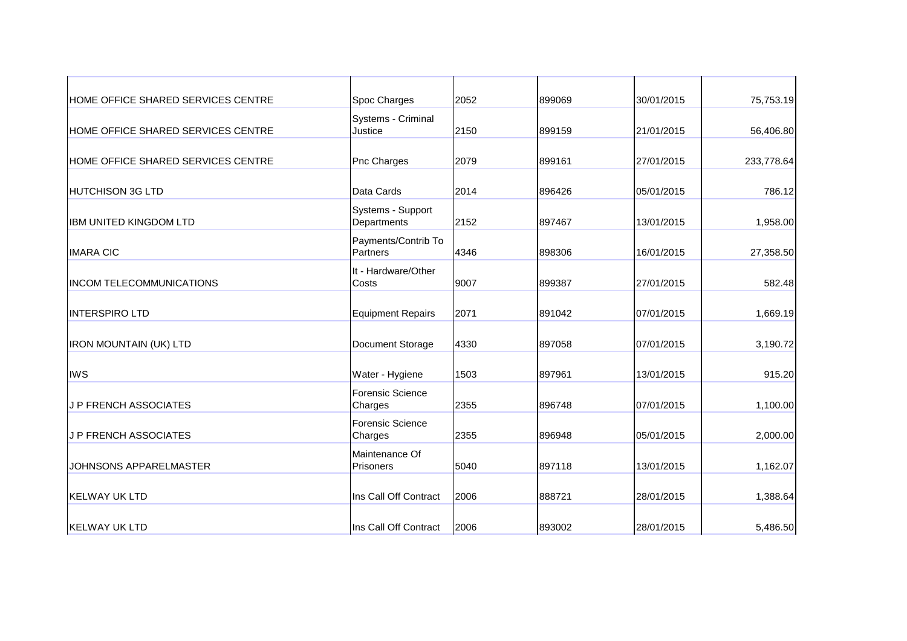| HOME OFFICE SHARED SERVICES CENTRE | Spoc Charges                       | 2052 | 899069 | 30/01/2015 | 75,753.19  |
|------------------------------------|------------------------------------|------|--------|------------|------------|
| HOME OFFICE SHARED SERVICES CENTRE | Systems - Criminal<br>Justice      | 2150 | 899159 | 21/01/2015 | 56,406.80  |
| HOME OFFICE SHARED SERVICES CENTRE | Pnc Charges                        | 2079 | 899161 | 27/01/2015 | 233,778.64 |
| <b>HUTCHISON 3G LTD</b>            | Data Cards                         | 2014 | 896426 | 05/01/2015 | 786.12     |
| <b>IBM UNITED KINGDOM LTD</b>      | Systems - Support<br>Departments   | 2152 | 897467 | 13/01/2015 | 1,958.00   |
| <b>IMARA CIC</b>                   | Payments/Contrib To<br>Partners    | 4346 | 898306 | 16/01/2015 | 27,358.50  |
| <b>INCOM TELECOMMUNICATIONS</b>    | It - Hardware/Other<br>Costs       | 9007 | 899387 | 27/01/2015 | 582.48     |
| <b>INTERSPIRO LTD</b>              | <b>Equipment Repairs</b>           | 2071 | 891042 | 07/01/2015 | 1,669.19   |
| <b>IRON MOUNTAIN (UK) LTD</b>      | Document Storage                   | 4330 | 897058 | 07/01/2015 | 3,190.72   |
| <b>IWS</b>                         | Water - Hygiene                    | 1503 | 897961 | 13/01/2015 | 915.20     |
| <b>J P FRENCH ASSOCIATES</b>       | <b>Forensic Science</b><br>Charges | 2355 | 896748 | 07/01/2015 | 1,100.00   |
| <b>J P FRENCH ASSOCIATES</b>       | <b>Forensic Science</b><br>Charges | 2355 | 896948 | 05/01/2015 | 2,000.00   |
| <b>JOHNSONS APPARELMASTER</b>      | Maintenance Of<br><b>Prisoners</b> | 5040 | 897118 | 13/01/2015 | 1,162.07   |
| <b>KELWAY UK LTD</b>               | Ins Call Off Contract              | 2006 | 888721 | 28/01/2015 | 1,388.64   |
| <b>KELWAY UK LTD</b>               | Ins Call Off Contract              | 2006 | 893002 | 28/01/2015 | 5,486.50   |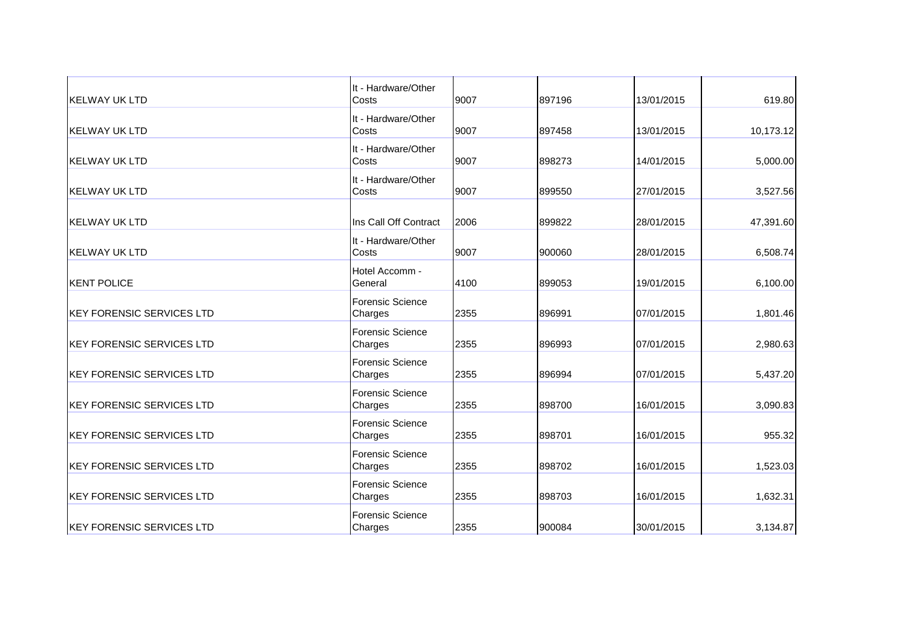| <b>KELWAY UK LTD</b>             | It - Hardware/Other<br>Costs       | 9007 | 897196 | 13/01/2015 | 619.80    |
|----------------------------------|------------------------------------|------|--------|------------|-----------|
| <b>KELWAY UK LTD</b>             | It - Hardware/Other<br>Costs       | 9007 | 897458 | 13/01/2015 | 10,173.12 |
| <b>KELWAY UK LTD</b>             | It - Hardware/Other<br>Costs       | 9007 | 898273 | 14/01/2015 | 5,000.00  |
| <b>KELWAY UK LTD</b>             | It - Hardware/Other<br>Costs       | 9007 | 899550 | 27/01/2015 | 3,527.56  |
| <b>KELWAY UK LTD</b>             | Ins Call Off Contract              | 2006 | 899822 | 28/01/2015 | 47,391.60 |
| <b>KELWAY UK LTD</b>             | It - Hardware/Other<br>Costs       | 9007 | 900060 | 28/01/2015 | 6,508.74  |
| <b>KENT POLICE</b>               | Hotel Accomm -<br>General          | 4100 | 899053 | 19/01/2015 | 6,100.00  |
| <b>KEY FORENSIC SERVICES LTD</b> | <b>Forensic Science</b><br>Charges | 2355 | 896991 | 07/01/2015 | 1,801.46  |
| <b>KEY FORENSIC SERVICES LTD</b> | <b>Forensic Science</b><br>Charges | 2355 | 896993 | 07/01/2015 | 2,980.63  |
| <b>KEY FORENSIC SERVICES LTD</b> | <b>Forensic Science</b><br>Charges | 2355 | 896994 | 07/01/2015 | 5,437.20  |
| <b>KEY FORENSIC SERVICES LTD</b> | <b>Forensic Science</b><br>Charges | 2355 | 898700 | 16/01/2015 | 3,090.83  |
| <b>KEY FORENSIC SERVICES LTD</b> | Forensic Science<br>Charges        | 2355 | 898701 | 16/01/2015 | 955.32    |
| <b>KEY FORENSIC SERVICES LTD</b> | <b>Forensic Science</b><br>Charges | 2355 | 898702 | 16/01/2015 | 1,523.03  |
| <b>KEY FORENSIC SERVICES LTD</b> | <b>Forensic Science</b><br>Charges | 2355 | 898703 | 16/01/2015 | 1,632.31  |
| <b>KEY FORENSIC SERVICES LTD</b> | <b>Forensic Science</b><br>Charges | 2355 | 900084 | 30/01/2015 | 3,134.87  |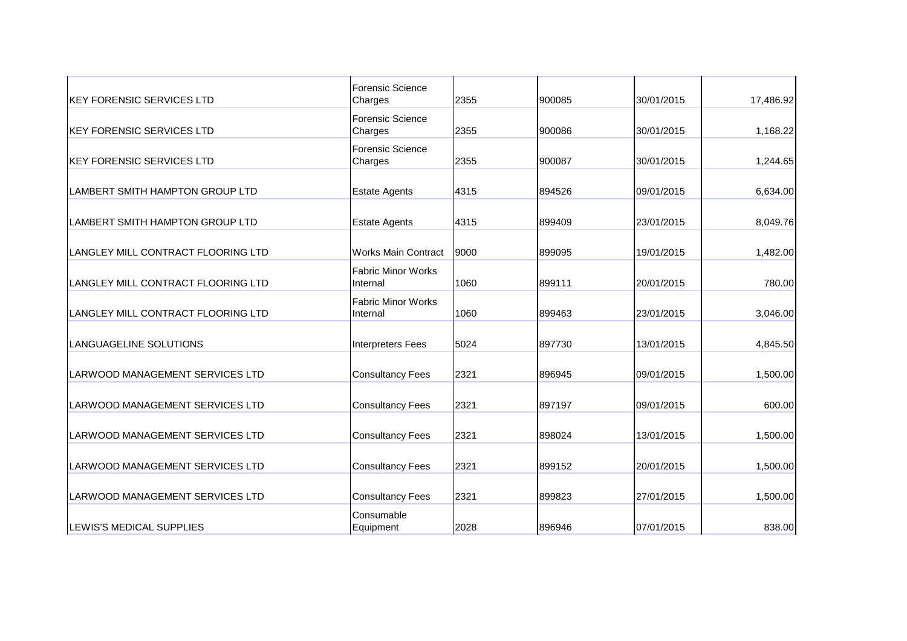| <b>KEY FORENSIC SERVICES LTD</b>       | <b>Forensic Science</b><br>Charges    | 2355 | 900085 | 30/01/2015 | 17,486.92 |
|----------------------------------------|---------------------------------------|------|--------|------------|-----------|
| <b>IKEY FORENSIC SERVICES LTD</b>      | Forensic Science<br>Charges           | 2355 | 900086 | 30/01/2015 | 1,168.22  |
| <b>KEY FORENSIC SERVICES LTD</b>       | <b>Forensic Science</b><br>Charges    | 2355 | 900087 | 30/01/2015 | 1,244.65  |
| LAMBERT SMITH HAMPTON GROUP LTD        | <b>Estate Agents</b>                  | 4315 | 894526 | 09/01/2015 | 6,634.00  |
| LAMBERT SMITH HAMPTON GROUP LTD        | <b>Estate Agents</b>                  | 4315 | 899409 | 23/01/2015 | 8,049.76  |
| LANGLEY MILL CONTRACT FLOORING LTD     | <b>Works Main Contract</b>            | 9000 | 899095 | 19/01/2015 | 1,482.00  |
| LANGLEY MILL CONTRACT FLOORING LTD     | <b>Fabric Minor Works</b><br>Internal | 1060 | 899111 | 20/01/2015 | 780.00    |
| LANGLEY MILL CONTRACT FLOORING LTD     | <b>Fabric Minor Works</b><br>Internal | 1060 | 899463 | 23/01/2015 | 3,046.00  |
| LANGUAGELINE SOLUTIONS                 | Interpreters Fees                     | 5024 | 897730 | 13/01/2015 | 4,845.50  |
| <b>LARWOOD MANAGEMENT SERVICES LTD</b> | <b>Consultancy Fees</b>               | 2321 | 896945 | 09/01/2015 | 1,500.00  |
| <b>LARWOOD MANAGEMENT SERVICES LTD</b> | <b>Consultancy Fees</b>               | 2321 | 897197 | 09/01/2015 | 600.00    |
| <b>LARWOOD MANAGEMENT SERVICES LTD</b> | <b>Consultancy Fees</b>               | 2321 | 898024 | 13/01/2015 | 1,500.00  |
| LARWOOD MANAGEMENT SERVICES LTD        | <b>Consultancy Fees</b>               | 2321 | 899152 | 20/01/2015 | 1,500.00  |
| LARWOOD MANAGEMENT SERVICES LTD        | <b>Consultancy Fees</b>               | 2321 | 899823 | 27/01/2015 | 1,500.00  |
| LEWIS'S MEDICAL SUPPLIES               | Consumable<br>Equipment               | 2028 | 896946 | 07/01/2015 | 838.00    |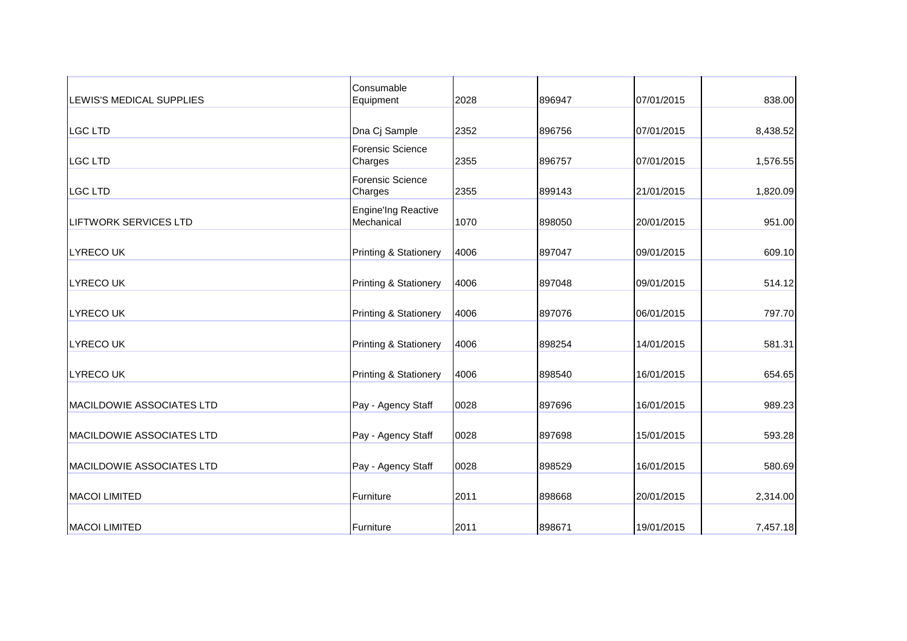| <b>LEWIS'S MEDICAL SUPPLIES</b> | Consumable<br>Equipment            | 2028 | 896947 | 07/01/2015 | 838.00   |
|---------------------------------|------------------------------------|------|--------|------------|----------|
| <b>LGC LTD</b>                  | Dna Cj Sample                      | 2352 | 896756 | 07/01/2015 | 8,438.52 |
| <b>LGC LTD</b>                  | <b>Forensic Science</b><br>Charges | 2355 | 896757 | 07/01/2015 | 1,576.55 |
| <b>LGC LTD</b>                  | <b>Forensic Science</b><br>Charges | 2355 | 899143 | 21/01/2015 | 1,820.09 |
| <b>LIFTWORK SERVICES LTD</b>    | Engine'Ing Reactive<br>Mechanical  | 1070 | 898050 | 20/01/2015 | 951.00   |
| <b>LYRECOUK</b>                 | <b>Printing &amp; Stationery</b>   | 4006 | 897047 | 09/01/2015 | 609.10   |
| <b>LYRECOUK</b>                 | <b>Printing &amp; Stationery</b>   | 4006 | 897048 | 09/01/2015 | 514.12   |
| <b>LYRECO UK</b>                | <b>Printing &amp; Stationery</b>   | 4006 | 897076 | 06/01/2015 | 797.70   |
| <b>LYRECOUK</b>                 | <b>Printing &amp; Stationery</b>   | 4006 | 898254 | 14/01/2015 | 581.31   |
| <b>LYRECO UK</b>                | <b>Printing &amp; Stationery</b>   | 4006 | 898540 | 16/01/2015 | 654.65   |
| MACILDOWIE ASSOCIATES LTD       | Pay - Agency Staff                 | 0028 | 897696 | 16/01/2015 | 989.23   |
| MACILDOWIE ASSOCIATES LTD       | Pay - Agency Staff                 | 0028 | 897698 | 15/01/2015 | 593.28   |
| MACILDOWIE ASSOCIATES LTD       | Pay - Agency Staff                 | 0028 | 898529 | 16/01/2015 | 580.69   |
| <b>MACOI LIMITED</b>            | Furniture                          | 2011 | 898668 | 20/01/2015 | 2,314.00 |
| <b>MACOI LIMITED</b>            | Furniture                          | 2011 | 898671 | 19/01/2015 | 7,457.18 |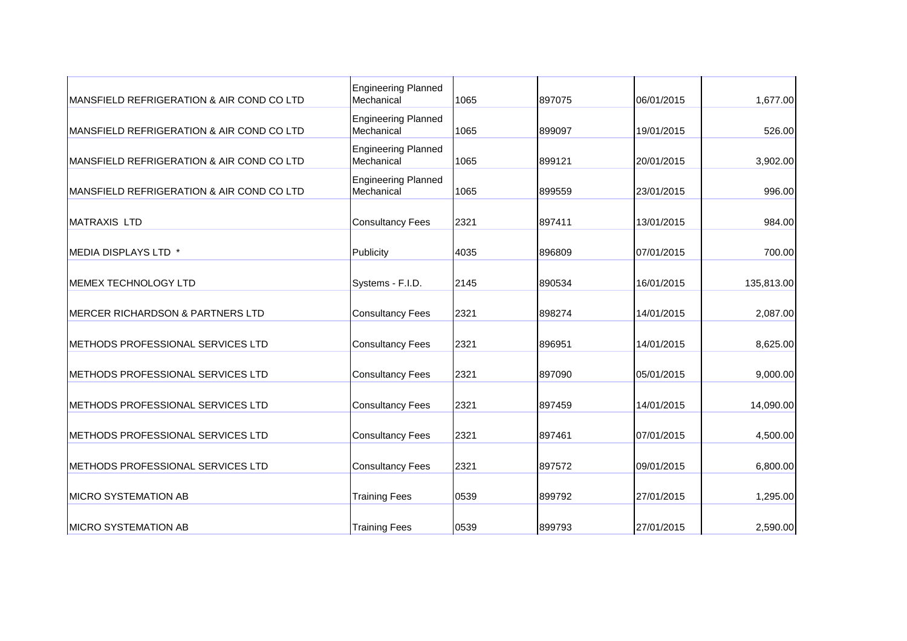| <b>MANSFIELD REFRIGERATION &amp; AIR COND CO LTD</b> | <b>Engineering Planned</b><br>Mechanical | 1065 | 897075 | 06/01/2015 | 1,677.00   |
|------------------------------------------------------|------------------------------------------|------|--------|------------|------------|
| <b>MANSFIELD REFRIGERATION &amp; AIR COND CO LTD</b> | <b>Engineering Planned</b><br>Mechanical | 1065 | 899097 | 19/01/2015 | 526.00     |
| <b>MANSFIELD REFRIGERATION &amp; AIR COND CO LTD</b> | <b>Engineering Planned</b><br>Mechanical | 1065 | 899121 | 20/01/2015 | 3,902.00   |
| <b>MANSFIELD REFRIGERATION &amp; AIR COND CO LTD</b> | <b>Engineering Planned</b><br>Mechanical | 1065 | 899559 | 23/01/2015 | 996.00     |
| <b>MATRAXIS LTD</b>                                  | <b>Consultancy Fees</b>                  | 2321 | 897411 | 13/01/2015 | 984.00     |
| MEDIA DISPLAYS LTD *                                 | Publicity                                | 4035 | 896809 | 07/01/2015 | 700.00     |
| <b>MEMEX TECHNOLOGY LTD</b>                          | Systems - F.I.D.                         | 2145 | 890534 | 16/01/2015 | 135,813.00 |
| MERCER RICHARDSON & PARTNERS LTD                     | <b>Consultancy Fees</b>                  | 2321 | 898274 | 14/01/2015 | 2,087.00   |
| METHODS PROFESSIONAL SERVICES LTD                    | <b>Consultancy Fees</b>                  | 2321 | 896951 | 14/01/2015 | 8,625.00   |
| METHODS PROFESSIONAL SERVICES LTD                    | <b>Consultancy Fees</b>                  | 2321 | 897090 | 05/01/2015 | 9,000.00   |
| METHODS PROFESSIONAL SERVICES LTD                    | <b>Consultancy Fees</b>                  | 2321 | 897459 | 14/01/2015 | 14,090.00  |
| <b>IMETHODS PROFESSIONAL SERVICES LTD</b>            | <b>Consultancy Fees</b>                  | 2321 | 897461 | 07/01/2015 | 4,500.00   |
| METHODS PROFESSIONAL SERVICES LTD                    | <b>Consultancy Fees</b>                  | 2321 | 897572 | 09/01/2015 | 6,800.00   |
| <b>MICRO SYSTEMATION AB</b>                          | <b>Training Fees</b>                     | 0539 | 899792 | 27/01/2015 | 1,295.00   |
| <b>IMICRO SYSTEMATION AB</b>                         | <b>Training Fees</b>                     | 0539 | 899793 | 27/01/2015 | 2,590.00   |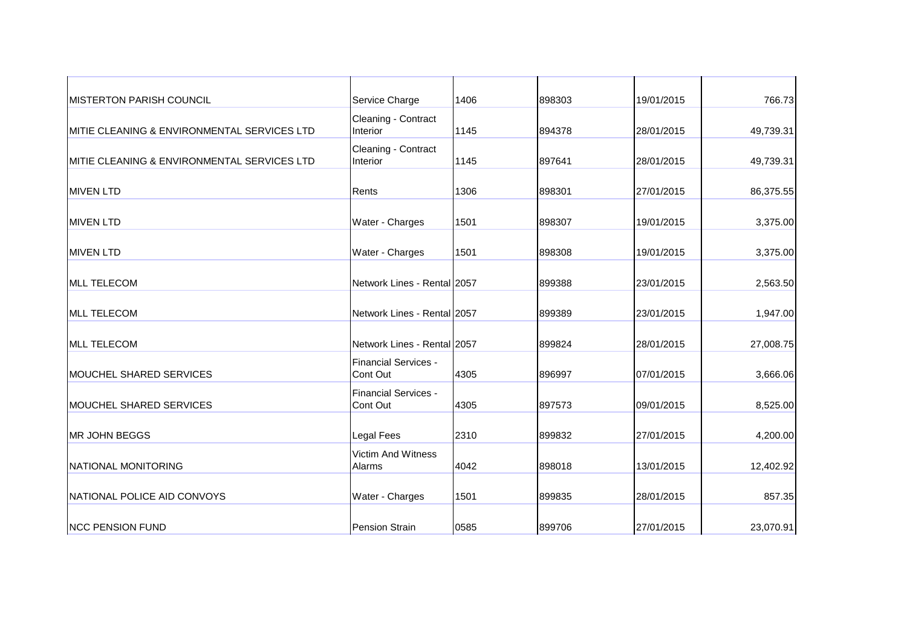| <b>MISTERTON PARISH COUNCIL</b>              | Service Charge                      | 1406 | 898303 | 19/01/2015 | 766.73    |
|----------------------------------------------|-------------------------------------|------|--------|------------|-----------|
| IMITIE CLEANING & ENVIRONMENTAL SERVICES LTD | Cleaning - Contract<br>Interior     | 1145 | 894378 | 28/01/2015 | 49,739.31 |
| IMITIE CLEANING & ENVIRONMENTAL SERVICES LTD | Cleaning - Contract<br>Interior     | 1145 | 897641 | 28/01/2015 | 49,739.31 |
| <b>MIVEN LTD</b>                             | Rents                               | 1306 | 898301 | 27/01/2015 | 86,375.55 |
| <b>MIVEN LTD</b>                             | Water - Charges                     | 1501 | 898307 | 19/01/2015 | 3,375.00  |
| <b>MIVEN LTD</b>                             | Water - Charges                     | 1501 | 898308 | 19/01/2015 | 3,375.00  |
| <b>MLL TELECOM</b>                           | Network Lines - Rental 2057         |      | 899388 | 23/01/2015 | 2,563.50  |
| <b>MLL TELECOM</b>                           | Network Lines - Rental 2057         |      | 899389 | 23/01/2015 | 1,947.00  |
| <b>MLL TELECOM</b>                           | Network Lines - Rental 2057         |      | 899824 | 28/01/2015 | 27,008.75 |
| MOUCHEL SHARED SERVICES                      | Financial Services -<br>Cont Out    | 4305 | 896997 | 07/01/2015 | 3,666.06  |
| MOUCHEL SHARED SERVICES                      | Financial Services -<br>Cont Out    | 4305 | 897573 | 09/01/2015 | 8,525.00  |
| MR JOHN BEGGS                                | Legal Fees                          | 2310 | 899832 | 27/01/2015 | 4,200.00  |
| NATIONAL MONITORING                          | <b>Victim And Witness</b><br>Alarms | 4042 | 898018 | 13/01/2015 | 12,402.92 |
| NATIONAL POLICE AID CONVOYS                  | Water - Charges                     | 1501 | 899835 | 28/01/2015 | 857.35    |
| <b>NCC PENSION FUND</b>                      | <b>Pension Strain</b>               | 0585 | 899706 | 27/01/2015 | 23,070.91 |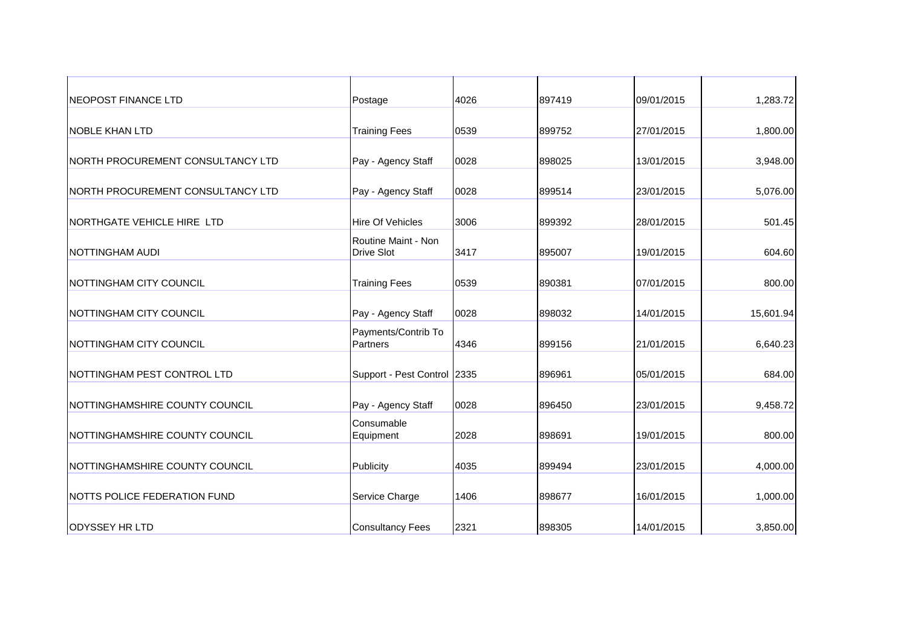| <b>NEOPOST FINANCE LTD</b>        | Postage                                  | 4026 | 897419 | 09/01/2015 | 1,283.72  |
|-----------------------------------|------------------------------------------|------|--------|------------|-----------|
| INOBLE KHAN LTD                   | <b>Training Fees</b>                     | 0539 | 899752 | 27/01/2015 | 1,800.00  |
| NORTH PROCUREMENT CONSULTANCY LTD | Pay - Agency Staff                       | 0028 | 898025 | 13/01/2015 | 3,948.00  |
| NORTH PROCUREMENT CONSULTANCY LTD | Pay - Agency Staff                       | 0028 | 899514 | 23/01/2015 | 5,076.00  |
| NORTHGATE VEHICLE HIRE LTD        | <b>Hire Of Vehicles</b>                  | 3006 | 899392 | 28/01/2015 | 501.45    |
| NOTTINGHAM AUDI                   | Routine Maint - Non<br><b>Drive Slot</b> | 3417 | 895007 | 19/01/2015 | 604.60    |
| NOTTINGHAM CITY COUNCIL           | <b>Training Fees</b>                     | 0539 | 890381 | 07/01/2015 | 800.00    |
| NOTTINGHAM CITY COUNCIL           | Pay - Agency Staff                       | 0028 | 898032 | 14/01/2015 | 15,601.94 |
| NOTTINGHAM CITY COUNCIL           | Payments/Contrib To<br>Partners          | 4346 | 899156 | 21/01/2015 | 6,640.23  |
| NOTTINGHAM PEST CONTROL LTD       | Support - Pest Control 2335              |      | 896961 | 05/01/2015 | 684.00    |
| NOTTINGHAMSHIRE COUNTY COUNCIL    | Pay - Agency Staff                       | 0028 | 896450 | 23/01/2015 | 9,458.72  |
| NOTTINGHAMSHIRE COUNTY COUNCIL    | Consumable<br>Equipment                  | 2028 | 898691 | 19/01/2015 | 800.00    |
| NOTTINGHAMSHIRE COUNTY COUNCIL    | Publicity                                | 4035 | 899494 | 23/01/2015 | 4,000.00  |
| NOTTS POLICE FEDERATION FUND      | Service Charge                           | 1406 | 898677 | 16/01/2015 | 1,000.00  |
| <b>ODYSSEY HR LTD</b>             | <b>Consultancy Fees</b>                  | 2321 | 898305 | 14/01/2015 | 3,850.00  |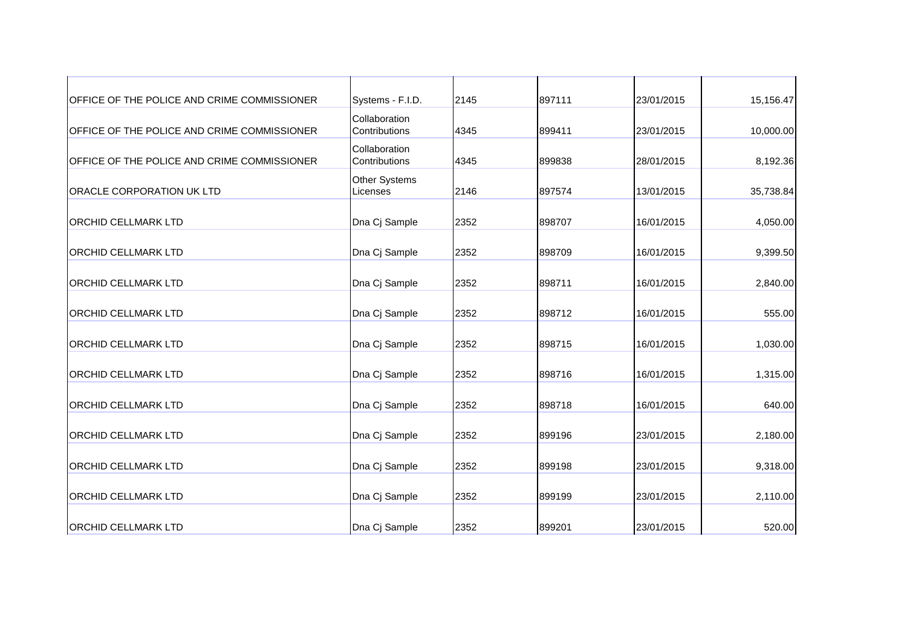| OFFICE OF THE POLICE AND CRIME COMMISSIONER | Systems - F.I.D.                 | 2145 | 897111 | 23/01/2015 | 15,156.47 |
|---------------------------------------------|----------------------------------|------|--------|------------|-----------|
| OFFICE OF THE POLICE AND CRIME COMMISSIONER | Collaboration<br>Contributions   | 4345 | 899411 | 23/01/2015 | 10,000.00 |
| OFFICE OF THE POLICE AND CRIME COMMISSIONER | Collaboration<br>Contributions   | 4345 | 899838 | 28/01/2015 | 8,192.36  |
| <b>ORACLE CORPORATION UK LTD</b>            | <b>Other Systems</b><br>Licenses | 2146 | 897574 | 13/01/2015 | 35,738.84 |
| <b>ORCHID CELLMARK LTD</b>                  | Dna Cj Sample                    | 2352 | 898707 | 16/01/2015 | 4,050.00  |
| <b>ORCHID CELLMARK LTD</b>                  | Dna Cj Sample                    | 2352 | 898709 | 16/01/2015 | 9,399.50  |
| <b>ORCHID CELLMARK LTD</b>                  | Dna Cj Sample                    | 2352 | 898711 | 16/01/2015 | 2,840.00  |
| <b>ORCHID CELLMARK LTD</b>                  | Dna Cj Sample                    | 2352 | 898712 | 16/01/2015 | 555.00    |
| <b>ORCHID CELLMARK LTD</b>                  | Dna Cj Sample                    | 2352 | 898715 | 16/01/2015 | 1,030.00  |
| <b>ORCHID CELLMARK LTD</b>                  | Dna Cj Sample                    | 2352 | 898716 | 16/01/2015 | 1,315.00  |
| <b>ORCHID CELLMARK LTD</b>                  | Dna Cj Sample                    | 2352 | 898718 | 16/01/2015 | 640.00    |
| <b>ORCHID CELLMARK LTD</b>                  | Dna Cj Sample                    | 2352 | 899196 | 23/01/2015 | 2,180.00  |
| <b>ORCHID CELLMARK LTD</b>                  | Dna Cj Sample                    | 2352 | 899198 | 23/01/2015 | 9,318.00  |
| <b>ORCHID CELLMARK LTD</b>                  | Dna Cj Sample                    | 2352 | 899199 | 23/01/2015 | 2,110.00  |
| <b>ORCHID CELLMARK LTD</b>                  | Dna Cj Sample                    | 2352 | 899201 | 23/01/2015 | 520.00    |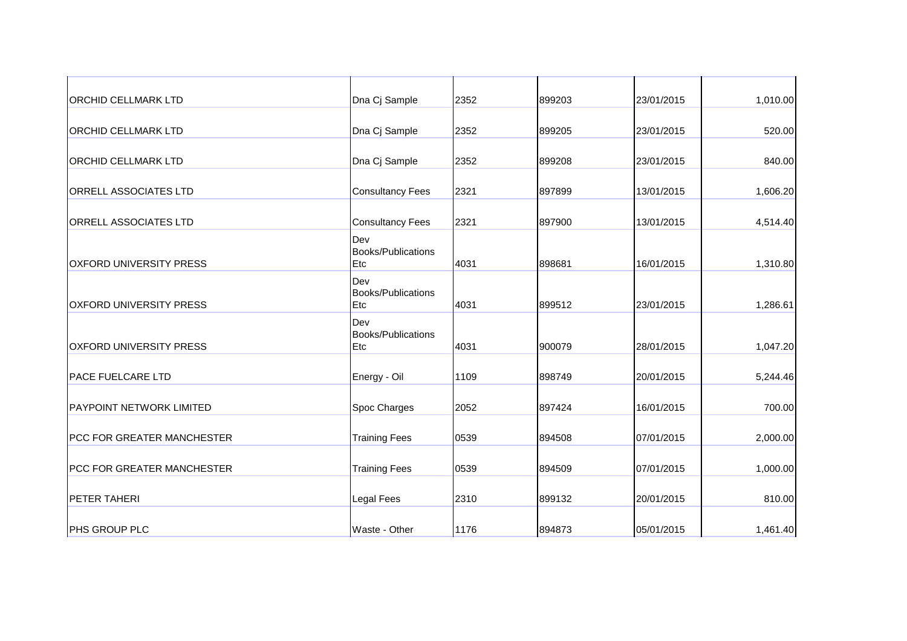| Dna Cj Sample                    | 2352 | 899203 | 23/01/2015 | 1,010.00 |
|----------------------------------|------|--------|------------|----------|
| Dna Cj Sample                    | 2352 | 899205 | 23/01/2015 | 520.00   |
| Dna Cj Sample                    | 2352 | 899208 | 23/01/2015 | 840.00   |
| <b>Consultancy Fees</b>          | 2321 | 897899 | 13/01/2015 | 1,606.20 |
| <b>Consultancy Fees</b>          | 2321 | 897900 | 13/01/2015 | 4,514.40 |
| Dev<br>Books/Publications<br>Etc | 4031 | 898681 | 16/01/2015 | 1,310.80 |
| Dev<br>Books/Publications<br>Etc | 4031 | 899512 | 23/01/2015 | 1,286.61 |
| Dev<br>Books/Publications<br>Etc | 4031 | 900079 | 28/01/2015 | 1,047.20 |
| Energy - Oil                     | 1109 | 898749 | 20/01/2015 | 5,244.46 |
| Spoc Charges                     | 2052 | 897424 | 16/01/2015 | 700.00   |
| <b>Training Fees</b>             | 0539 | 894508 | 07/01/2015 | 2,000.00 |
| <b>Training Fees</b>             | 0539 | 894509 | 07/01/2015 | 1,000.00 |
| Legal Fees                       | 2310 | 899132 | 20/01/2015 | 810.00   |
| Waste - Other                    | 1176 | 894873 | 05/01/2015 | 1,461.40 |
|                                  |      |        |            |          |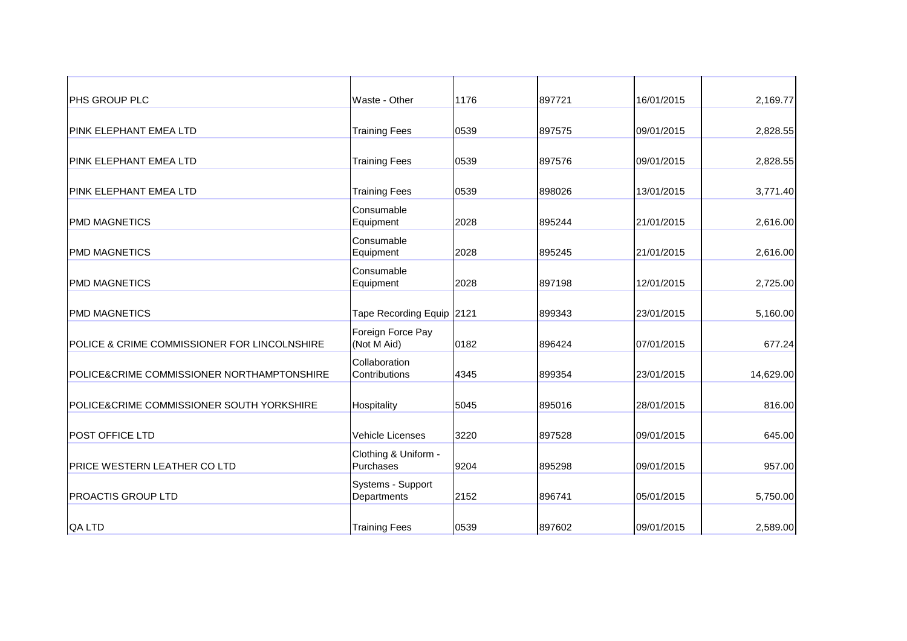| <b>PHS GROUP PLC</b>                         | Waste - Other                     | 1176 | 897721 | 16/01/2015 | 2,169.77  |
|----------------------------------------------|-----------------------------------|------|--------|------------|-----------|
| <b>PINK ELEPHANT EMEA LTD</b>                | <b>Training Fees</b>              | 0539 | 897575 | 09/01/2015 | 2,828.55  |
| <b>PINK ELEPHANT EMEA LTD</b>                | <b>Training Fees</b>              | 0539 | 897576 | 09/01/2015 | 2,828.55  |
| <b>IPINK ELEPHANT EMEA LTD</b>               | <b>Training Fees</b>              | 0539 | 898026 | 13/01/2015 | 3,771.40  |
| <b>PMD MAGNETICS</b>                         | Consumable<br>Equipment           | 2028 | 895244 | 21/01/2015 | 2,616.00  |
| <b>PMD MAGNETICS</b>                         | Consumable<br>Equipment           | 2028 | 895245 | 21/01/2015 | 2,616.00  |
| <b>PMD MAGNETICS</b>                         | Consumable<br>Equipment           | 2028 | 897198 | 12/01/2015 | 2,725.00  |
| <b>PMD MAGNETICS</b>                         | Tape Recording Equip 2121         |      | 899343 | 23/01/2015 | 5,160.00  |
| POLICE & CRIME COMMISSIONER FOR LINCOLNSHIRE | Foreign Force Pay<br>(Not M Aid)  | 0182 | 896424 | 07/01/2015 | 677.24    |
| POLICE&CRIME COMMISSIONER NORTHAMPTONSHIRE   | Collaboration<br>Contributions    | 4345 | 899354 | 23/01/2015 | 14,629.00 |
| POLICE&CRIME COMMISSIONER SOUTH YORKSHIRE    | Hospitality                       | 5045 | 895016 | 28/01/2015 | 816.00    |
| <b>POST OFFICE LTD</b>                       | <b>Vehicle Licenses</b>           | 3220 | 897528 | 09/01/2015 | 645.00    |
| PRICE WESTERN LEATHER CO LTD                 | Clothing & Uniform -<br>Purchases | 9204 | 895298 | 09/01/2015 | 957.00    |
| <b>PROACTIS GROUP LTD</b>                    | Systems - Support<br>Departments  | 2152 | 896741 | 05/01/2015 | 5,750.00  |
| QA LTD                                       | <b>Training Fees</b>              | 0539 | 897602 | 09/01/2015 | 2,589.00  |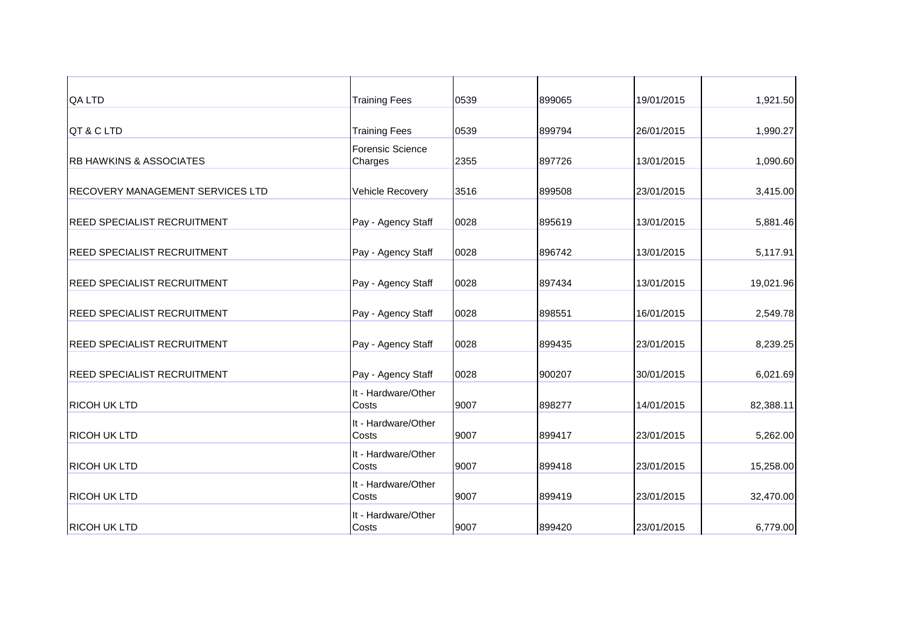| <b>QA LTD</b>                           | <b>Training Fees</b>               | 0539 | 899065 | 19/01/2015 | 1,921.50  |
|-----------------------------------------|------------------------------------|------|--------|------------|-----------|
| QT & C LTD                              | <b>Training Fees</b>               | 0539 | 899794 | 26/01/2015 | 1,990.27  |
| <b>RB HAWKINS &amp; ASSOCIATES</b>      | <b>Forensic Science</b><br>Charges | 2355 | 897726 | 13/01/2015 | 1,090.60  |
| <b>RECOVERY MANAGEMENT SERVICES LTD</b> | Vehicle Recovery                   | 3516 | 899508 | 23/01/2015 | 3,415.00  |
| <b>REED SPECIALIST RECRUITMENT</b>      | Pay - Agency Staff                 | 0028 | 895619 | 13/01/2015 | 5,881.46  |
| <b>REED SPECIALIST RECRUITMENT</b>      | Pay - Agency Staff                 | 0028 | 896742 | 13/01/2015 | 5,117.91  |
| <b>REED SPECIALIST RECRUITMENT</b>      | Pay - Agency Staff                 | 0028 | 897434 | 13/01/2015 | 19,021.96 |
| <b>REED SPECIALIST RECRUITMENT</b>      | Pay - Agency Staff                 | 0028 | 898551 | 16/01/2015 | 2,549.78  |
| <b>REED SPECIALIST RECRUITMENT</b>      | Pay - Agency Staff                 | 0028 | 899435 | 23/01/2015 | 8,239.25  |
| <b>REED SPECIALIST RECRUITMENT</b>      | Pay - Agency Staff                 | 0028 | 900207 | 30/01/2015 | 6,021.69  |
| <b>RICOH UK LTD</b>                     | It - Hardware/Other<br>Costs       | 9007 | 898277 | 14/01/2015 | 82,388.11 |
| <b>RICOH UK LTD</b>                     | It - Hardware/Other<br>Costs       | 9007 | 899417 | 23/01/2015 | 5,262.00  |
| <b>RICOH UK LTD</b>                     | It - Hardware/Other<br>Costs       | 9007 | 899418 | 23/01/2015 | 15,258.00 |
| <b>RICOH UK LTD</b>                     | It - Hardware/Other<br>Costs       | 9007 | 899419 | 23/01/2015 | 32,470.00 |
| <b>RICOH UK LTD</b>                     | It - Hardware/Other<br>Costs       | 9007 | 899420 | 23/01/2015 | 6,779.00  |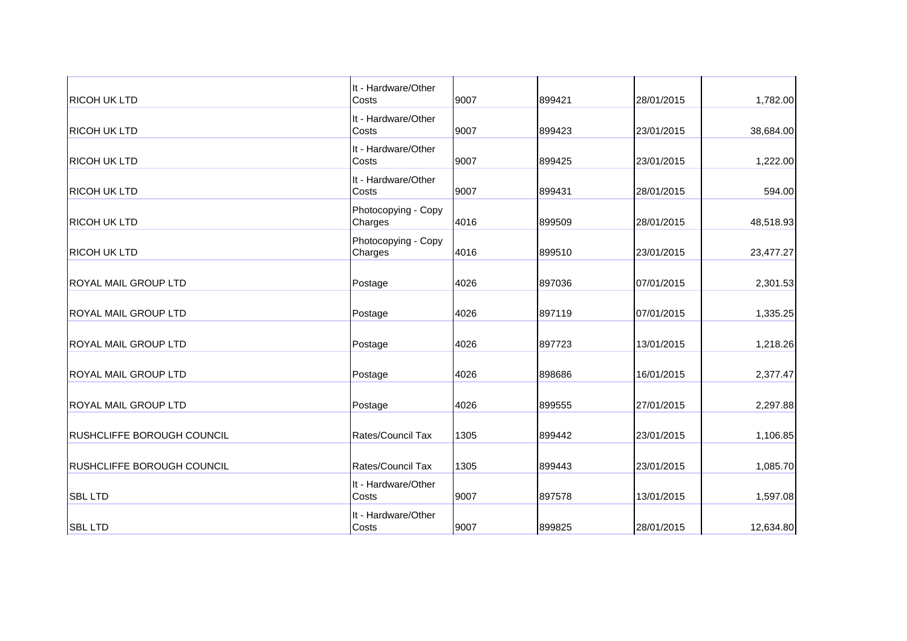| <b>RICOH UK LTD</b>               | It - Hardware/Other<br>Costs   | 9007 | 899421 | 28/01/2015 | 1,782.00  |
|-----------------------------------|--------------------------------|------|--------|------------|-----------|
| <b>RICOH UK LTD</b>               | It - Hardware/Other<br>Costs   | 9007 | 899423 | 23/01/2015 | 38,684.00 |
| <b>RICOH UK LTD</b>               | It - Hardware/Other<br>Costs   | 9007 | 899425 | 23/01/2015 | 1,222.00  |
| <b>RICOH UK LTD</b>               | It - Hardware/Other<br>Costs   | 9007 | 899431 | 28/01/2015 | 594.00    |
| <b>RICOH UK LTD</b>               | Photocopying - Copy<br>Charges | 4016 | 899509 | 28/01/2015 | 48,518.93 |
| <b>RICOH UK LTD</b>               | Photocopying - Copy<br>Charges | 4016 | 899510 | 23/01/2015 | 23,477.27 |
| <b>ROYAL MAIL GROUP LTD</b>       | Postage                        | 4026 | 897036 | 07/01/2015 | 2,301.53  |
| <b>ROYAL MAIL GROUP LTD</b>       | Postage                        | 4026 | 897119 | 07/01/2015 | 1,335.25  |
| <b>ROYAL MAIL GROUP LTD</b>       | Postage                        | 4026 | 897723 | 13/01/2015 | 1,218.26  |
| <b>ROYAL MAIL GROUP LTD</b>       | Postage                        | 4026 | 898686 | 16/01/2015 | 2,377.47  |
| <b>ROYAL MAIL GROUP LTD</b>       | Postage                        | 4026 | 899555 | 27/01/2015 | 2,297.88  |
| <b>RUSHCLIFFE BOROUGH COUNCIL</b> | Rates/Council Tax              | 1305 | 899442 | 23/01/2015 | 1,106.85  |
| <b>RUSHCLIFFE BOROUGH COUNCIL</b> | Rates/Council Tax              | 1305 | 899443 | 23/01/2015 | 1,085.70  |
| <b>SBL LTD</b>                    | It - Hardware/Other<br>Costs   | 9007 | 897578 | 13/01/2015 | 1,597.08  |
| <b>SBL LTD</b>                    | It - Hardware/Other<br>Costs   | 9007 | 899825 | 28/01/2015 | 12,634.80 |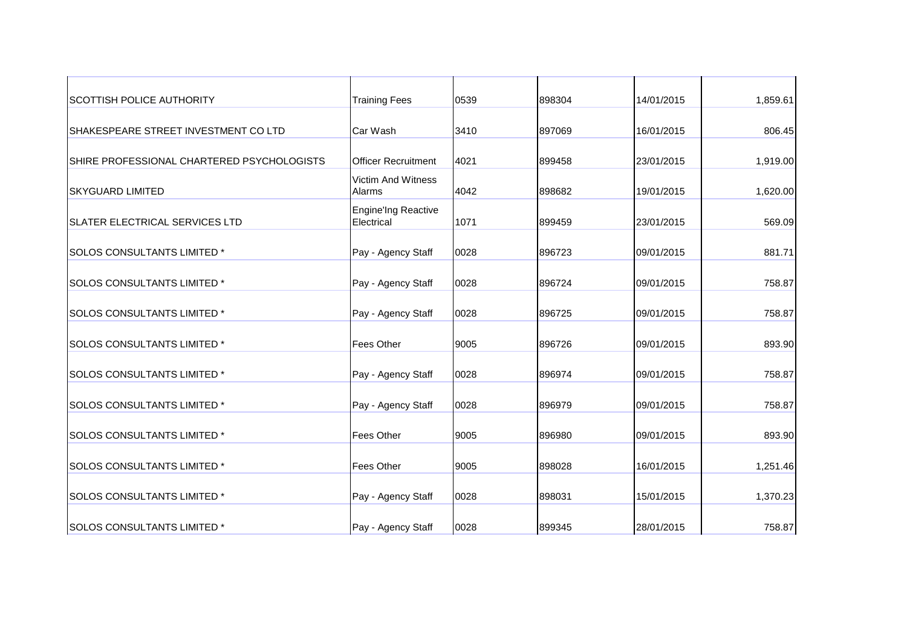| <b>SCOTTISH POLICE AUTHORITY</b>           | <b>Training Fees</b>              | 0539 | 898304 | 14/01/2015 | 1,859.61 |
|--------------------------------------------|-----------------------------------|------|--------|------------|----------|
| SHAKESPEARE STREET INVESTMENT COLTD        | Car Wash                          | 3410 | 897069 | 16/01/2015 | 806.45   |
| SHIRE PROFESSIONAL CHARTERED PSYCHOLOGISTS | <b>Officer Recruitment</b>        | 4021 | 899458 | 23/01/2015 | 1,919.00 |
| <b>SKYGUARD LIMITED</b>                    | Victim And Witness<br>Alarms      | 4042 | 898682 | 19/01/2015 | 1,620.00 |
| <b>SLATER ELECTRICAL SERVICES LTD</b>      | Engine'Ing Reactive<br>Electrical | 1071 | 899459 | 23/01/2015 | 569.09   |
| SOLOS CONSULTANTS LIMITED *                | Pay - Agency Staff                | 0028 | 896723 | 09/01/2015 | 881.71   |
| <b>SOLOS CONSULTANTS LIMITED *</b>         | Pay - Agency Staff                | 0028 | 896724 | 09/01/2015 | 758.87   |
| SOLOS CONSULTANTS LIMITED *                | Pay - Agency Staff                | 0028 | 896725 | 09/01/2015 | 758.87   |
| <b>SOLOS CONSULTANTS LIMITED *</b>         | <b>Fees Other</b>                 | 9005 | 896726 | 09/01/2015 | 893.90   |
| SOLOS CONSULTANTS LIMITED *                | Pay - Agency Staff                | 0028 | 896974 | 09/01/2015 | 758.87   |
| <b>SOLOS CONSULTANTS LIMITED *</b>         | Pay - Agency Staff                | 0028 | 896979 | 09/01/2015 | 758.87   |
| <b>SOLOS CONSULTANTS LIMITED *</b>         | <b>Fees Other</b>                 | 9005 | 896980 | 09/01/2015 | 893.90   |
| <b>SOLOS CONSULTANTS LIMITED *</b>         | <b>Fees Other</b>                 | 9005 | 898028 | 16/01/2015 | 1,251.46 |
| SOLOS CONSULTANTS LIMITED *                | Pay - Agency Staff                | 0028 | 898031 | 15/01/2015 | 1,370.23 |
| SOLOS CONSULTANTS LIMITED *                | Pay - Agency Staff                | 0028 | 899345 | 28/01/2015 | 758.87   |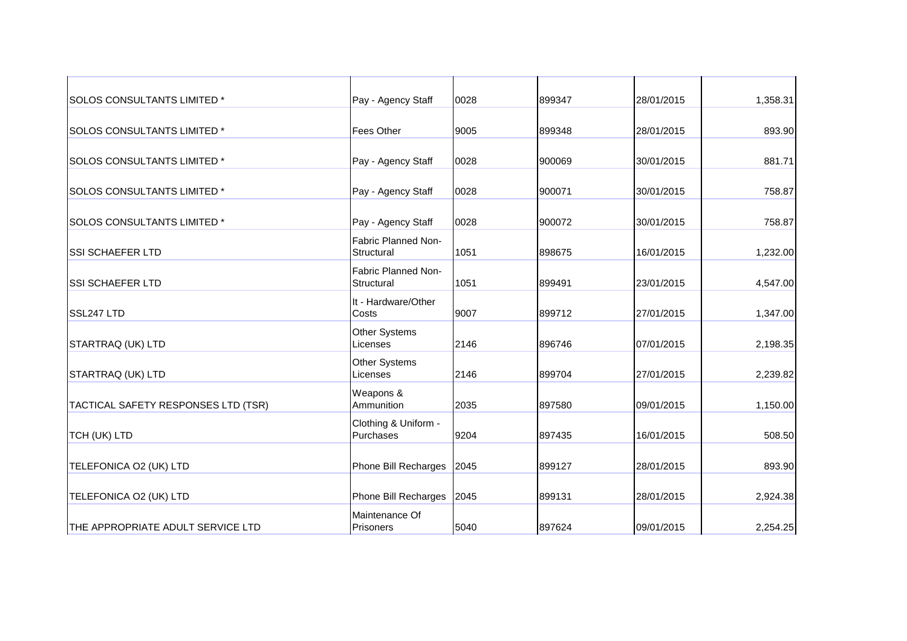| Pay - Agency Staff                | 0028 | 899347 | 28/01/2015 | 1,358.31 |
|-----------------------------------|------|--------|------------|----------|
| <b>Fees Other</b>                 | 9005 | 899348 | 28/01/2015 | 893.90   |
| Pay - Agency Staff                | 0028 | 900069 | 30/01/2015 | 881.71   |
| Pay - Agency Staff                | 0028 | 900071 | 30/01/2015 | 758.87   |
| Pay - Agency Staff                | 0028 | 900072 | 30/01/2015 | 758.87   |
| Fabric Planned Non-<br>Structural | 1051 | 898675 | 16/01/2015 | 1,232.00 |
| Fabric Planned Non-<br>Structural | 1051 | 899491 | 23/01/2015 | 4,547.00 |
| It - Hardware/Other<br>Costs      | 9007 | 899712 | 27/01/2015 | 1,347.00 |
| Other Systems<br>Licenses         | 2146 | 896746 | 07/01/2015 | 2,198.35 |
| Other Systems<br>Licenses         | 2146 | 899704 | 27/01/2015 | 2,239.82 |
| Weapons &<br>Ammunition           | 2035 | 897580 | 09/01/2015 | 1,150.00 |
| Clothing & Uniform -<br>Purchases | 9204 | 897435 | 16/01/2015 | 508.50   |
| Phone Bill Recharges              | 2045 | 899127 | 28/01/2015 | 893.90   |
| Phone Bill Recharges              | 2045 | 899131 | 28/01/2015 | 2,924.38 |
| Maintenance Of<br>Prisoners       | 5040 | 897624 | 09/01/2015 | 2,254.25 |
|                                   |      |        |            |          |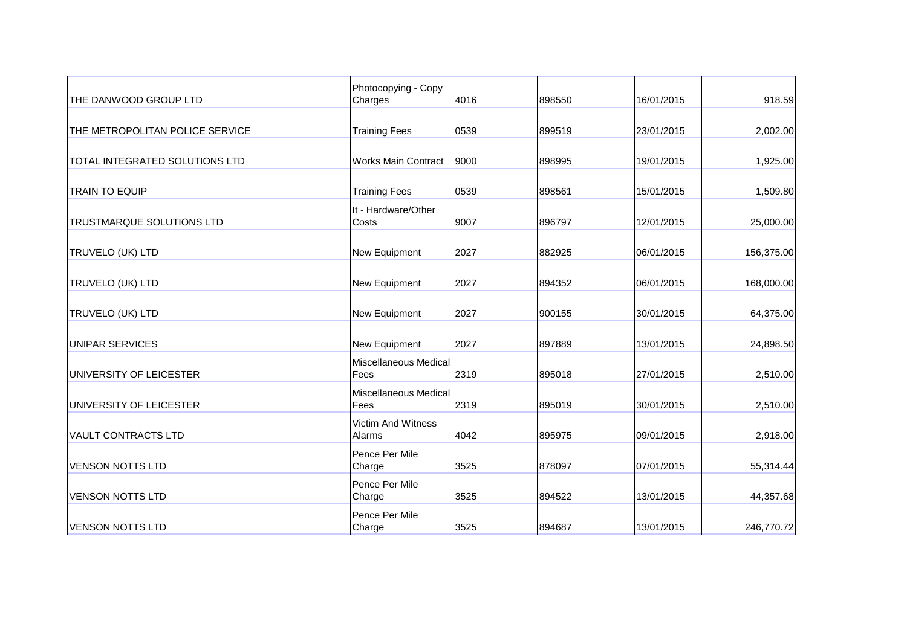| THE DANWOOD GROUP LTD            | Photocopying - Copy<br>Charges      | 4016 | 898550 | 16/01/2015 | 918.59     |
|----------------------------------|-------------------------------------|------|--------|------------|------------|
| THE METROPOLITAN POLICE SERVICE  | <b>Training Fees</b>                | 0539 | 899519 | 23/01/2015 | 2,002.00   |
| TOTAL INTEGRATED SOLUTIONS LTD   | <b>Works Main Contract</b>          | 9000 | 898995 | 19/01/2015 | 1,925.00   |
| <b>TRAIN TO EQUIP</b>            | <b>Training Fees</b>                | 0539 | 898561 | 15/01/2015 | 1,509.80   |
| <b>TRUSTMARQUE SOLUTIONS LTD</b> | It - Hardware/Other<br>Costs        | 9007 | 896797 | 12/01/2015 | 25,000.00  |
| TRUVELO (UK) LTD                 | New Equipment                       | 2027 | 882925 | 06/01/2015 | 156,375.00 |
| TRUVELO (UK) LTD                 | New Equipment                       | 2027 | 894352 | 06/01/2015 | 168,000.00 |
| TRUVELO (UK) LTD                 | <b>New Equipment</b>                | 2027 | 900155 | 30/01/2015 | 64,375.00  |
| <b>UNIPAR SERVICES</b>           | New Equipment                       | 2027 | 897889 | 13/01/2015 | 24,898.50  |
| UNIVERSITY OF LEICESTER          | Miscellaneous Medical<br>Fees       | 2319 | 895018 | 27/01/2015 | 2,510.00   |
| UNIVERSITY OF LEICESTER          | Miscellaneous Medical<br>Fees       | 2319 | 895019 | 30/01/2015 | 2,510.00   |
| <b>VAULT CONTRACTS LTD</b>       | <b>Victim And Witness</b><br>Alarms | 4042 | 895975 | 09/01/2015 | 2,918.00   |
| <b>VENSON NOTTS LTD</b>          | Pence Per Mile<br>Charge            | 3525 | 878097 | 07/01/2015 | 55,314.44  |
| <b>VENSON NOTTS LTD</b>          | Pence Per Mile<br>Charge            | 3525 | 894522 | 13/01/2015 | 44,357.68  |
| <b>VENSON NOTTS LTD</b>          | Pence Per Mile<br>Charge            | 3525 | 894687 | 13/01/2015 | 246,770.72 |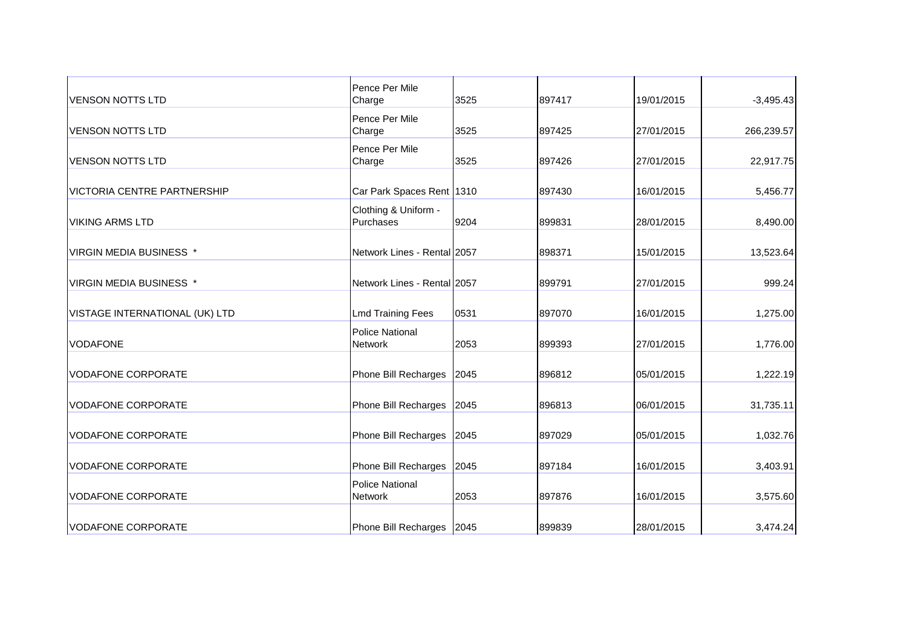| <b>VENSON NOTTS LTD</b>            | Pence Per Mile<br>Charge                 | 3525 | 897417 | 19/01/2015 | $-3,495.43$ |
|------------------------------------|------------------------------------------|------|--------|------------|-------------|
| <b>VENSON NOTTS LTD</b>            | Pence Per Mile<br>Charge                 | 3525 | 897425 | 27/01/2015 | 266,239.57  |
| <b>VENSON NOTTS LTD</b>            | Pence Per Mile<br>Charge                 | 3525 | 897426 | 27/01/2015 | 22,917.75   |
| <b>VICTORIA CENTRE PARTNERSHIP</b> | Car Park Spaces Rent 1310                |      | 897430 | 16/01/2015 | 5,456.77    |
| <b>VIKING ARMS LTD</b>             | Clothing & Uniform -<br>Purchases        | 9204 | 899831 | 28/01/2015 | 8,490.00    |
| VIRGIN MEDIA BUSINESS *            | Network Lines - Rental 2057              |      | 898371 | 15/01/2015 | 13,523.64   |
| <b>VIRGIN MEDIA BUSINESS *</b>     | Network Lines - Rental 2057              |      | 899791 | 27/01/2015 | 999.24      |
| VISTAGE INTERNATIONAL (UK) LTD     | <b>Lmd Training Fees</b>                 | 0531 | 897070 | 16/01/2015 | 1,275.00    |
| <b>VODAFONE</b>                    | <b>Police National</b><br><b>Network</b> | 2053 | 899393 | 27/01/2015 | 1,776.00    |
| <b>VODAFONE CORPORATE</b>          | Phone Bill Recharges                     | 2045 | 896812 | 05/01/2015 | 1,222.19    |
| <b>VODAFONE CORPORATE</b>          | Phone Bill Recharges                     | 2045 | 896813 | 06/01/2015 | 31,735.11   |
| <b>VODAFONE CORPORATE</b>          | Phone Bill Recharges                     | 2045 | 897029 | 05/01/2015 | 1,032.76    |
| <b>VODAFONE CORPORATE</b>          | Phone Bill Recharges                     | 2045 | 897184 | 16/01/2015 | 3,403.91    |
| <b>VODAFONE CORPORATE</b>          | <b>Police National</b><br><b>Network</b> | 2053 | 897876 | 16/01/2015 | 3,575.60    |
| <b>VODAFONE CORPORATE</b>          | Phone Bill Recharges 2045                |      | 899839 | 28/01/2015 | 3,474.24    |